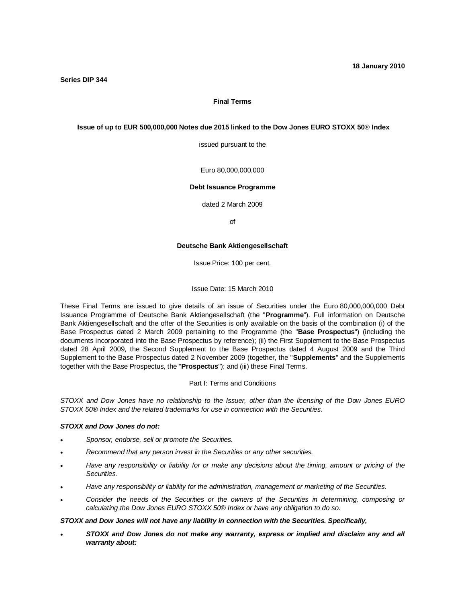## **Final Terms**

#### **Issue of up to EUR 500,000,000 Notes due 2015 linked to the Dow Jones EURO STOXX 50 Index**

issued pursuant to the

Euro 80,000,000,000

#### **Debt Issuance Programme**

dated 2 March 2009

of

#### **Deutsche Bank Aktiengesellschaft**

Issue Price: 100 per cent.

Issue Date: 15 March 2010

These Final Terms are issued to give details of an issue of Securities under the Euro 80,000,000,000 Debt Issuance Programme of Deutsche Bank Aktiengesellschaft (the "**Programme**"). Full information on Deutsche Bank Aktiengesellschaft and the offer of the Securities is only available on the basis of the combination (i) of the Base Prospectus dated 2 March 2009 pertaining to the Programme (the "**Base Prospectus**") (including the documents incorporated into the Base Prospectus by reference); (ii) the First Supplement to the Base Prospectus dated 28 April 2009, the Second Supplement to the Base Prospectus dated 4 August 2009 and the Third Supplement to the Base Prospectus dated 2 November 2009 (together, the "**Supplements**" and the Supplements together with the Base Prospectus, the "**Prospectus**"); and (iii) these Final Terms.

## Part I: Terms and Conditions

*STOXX and Dow Jones have no relationship to the Issuer, other than the licensing of the Dow Jones EURO STOXX 50® Index and the related trademarks for use in connection with the Securities.*

## *STOXX and Dow Jones do not:*

- x *Sponsor, endorse, sell or promote the Securities.*
- x *Recommend that any person invest in the Securities or any other securities.*
- x *Have any responsibility or liability for or make any decisions about the timing, amount or pricing of the Securities.*
- x *Have any responsibility or liability for the administration, management or marketing of the Securities.*
- x *Consider the needs of the Securities or the owners of the Securities in determining, composing or calculating the Dow Jones EURO STOXX 50® Index or have any obligation to do so.*

#### *STOXX and Dow Jones will not have any liability in connection with the Securities. Specifically,*

x *STOXX and Dow Jones do not make any warranty, express or implied and disclaim any and all warranty about:*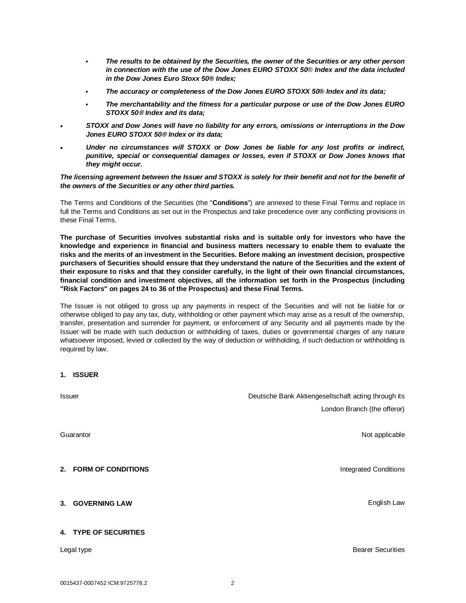- *The results to be obtained by the Securities, the owner of the Securities or any other person in connection with the use of the Dow Jones EURO STOXX 50® Index and the data included in the Dow Jones Euro Stoxx 50® Index;*
- *The accuracy or completeness of the Dow Jones EURO STOXX 50® Index and its data;*
- *The merchantability and the fitness for a particular purpose or use of the Dow Jones EURO STOXX 50***®** *Index and its data;*
- x *STOXX and Dow Jones will have no liability for any errors, omissions or interruptions in the Dow Jones EURO STOXX 50***®** *Index or its data;*
- x *Under no circumstances will STOXX or Dow Jones be liable for any lost profits or indirect, punitive, special or consequential damages or losses, even if STOXX or Dow Jones knows that they might occur.*

## *The licensing agreement between the Issuer and STOXX is solely for their benefit and not for the benefit of the owners of the Securities or any other third parties.*

The Terms and Conditions of the Securities (the "**Conditions**") are annexed to these Final Terms and replace in full the Terms and Conditions as set out in the Prospectus and take precedence over any conflicting provisions in these Final Terms.

**The purchase of Securities involves substantial risks and is suitable only for investors who have the knowledge and experience in financial and business matters necessary to enable them to evaluate the risks and the merits of an investment in the Securities. Before making an investment decision, prospective purchasers of Securities should ensure that they understand the nature of the Securities and the extent of their exposure to risks and that they consider carefully, in the light of their own financial circumstances, financial condition and investment objectives, all the information set forth in the Prospectus (including "Risk Factors" on pages 24 to 36 of the Prospectus) and these Final Terms.**

The Issuer is not obliged to gross up any payments in respect of the Securities and will not be liable for or otherwise obliged to pay any tax, duty, withholding or other payment which may arise as a result of the ownership, transfer, presentation and surrender for payment, or enforcement of any Security and all payments made by the Issuer will be made with such deduction or withholding of taxes, duties or governmental charges of any nature whatsoever imposed, levied or collected by the way of deduction or withholding, if such deduction or withholding is required by law.

## **1. ISSUER**

| <b>Issuer</b> |                       | Deutsche Bank Aktiengesellschaft acting through its |
|---------------|-----------------------|-----------------------------------------------------|
|               |                       | London Branch (the offeror)                         |
|               |                       | Not applicable                                      |
| Guarantor     |                       |                                                     |
|               |                       |                                                     |
|               | 2. FORM OF CONDITIONS | <b>Integrated Conditions</b>                        |
|               |                       |                                                     |
|               | 3. GOVERNING LAW      | English Law                                         |
|               |                       |                                                     |
|               | 4. TYPE OF SECURITIES |                                                     |
| Legal type    |                       | <b>Bearer Securities</b>                            |
|               |                       |                                                     |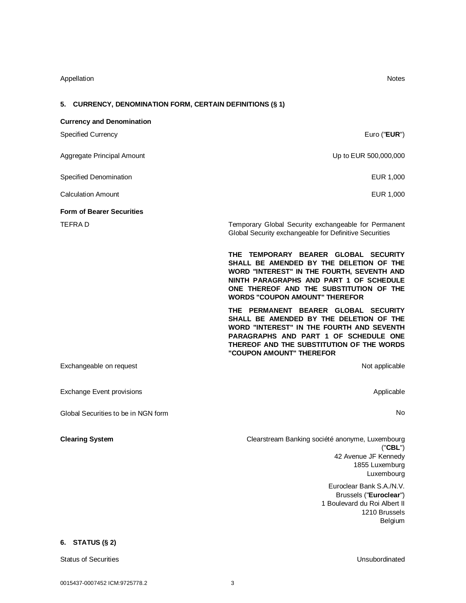# Appellation Notes

# **5. CURRENCY, DENOMINATION FORM, CERTAIN DEFINITIONS (§ 1)**

| <b>Currency and Denomination</b>    |                                                                                                                                                                                                                                                              |
|-------------------------------------|--------------------------------------------------------------------------------------------------------------------------------------------------------------------------------------------------------------------------------------------------------------|
| <b>Specified Currency</b>           | Euro (" <b>EUR</b> ")                                                                                                                                                                                                                                        |
| Aggregate Principal Amount          | Up to EUR 500,000,000                                                                                                                                                                                                                                        |
| Specified Denomination              | EUR 1,000                                                                                                                                                                                                                                                    |
| <b>Calculation Amount</b>           | EUR 1,000                                                                                                                                                                                                                                                    |
| <b>Form of Bearer Securities</b>    |                                                                                                                                                                                                                                                              |
| <b>TEFRAD</b>                       | Temporary Global Security exchangeable for Permanent<br>Global Security exchangeable for Definitive Securities                                                                                                                                               |
|                                     | THE TEMPORARY BEARER GLOBAL SECURITY<br>SHALL BE AMENDED BY THE DELETION OF THE<br>WORD "INTEREST" IN THE FOURTH, SEVENTH AND<br>NINTH PARAGRAPHS AND PART 1 OF SCHEDULE<br>ONE THEREOF AND THE SUBSTITUTION OF THE<br><b>WORDS "COUPON AMOUNT" THEREFOR</b> |
|                                     | THE PERMANENT BEARER GLOBAL SECURITY<br>SHALL BE AMENDED BY THE DELETION OF THE<br>WORD "INTEREST" IN THE FOURTH AND SEVENTH<br>PARAGRAPHS AND PART 1 OF SCHEDULE ONE<br>THEREOF AND THE SUBSTITUTION OF THE WORDS<br>"COUPON AMOUNT" THEREFOR               |
| Exchangeable on request             | Not applicable                                                                                                                                                                                                                                               |
| <b>Exchange Event provisions</b>    | Applicable                                                                                                                                                                                                                                                   |
| Global Securities to be in NGN form | No.                                                                                                                                                                                                                                                          |
| <b>Clearing System</b>              | Clearstream Banking société anonyme, Luxembourg<br>("CBL")<br>42 Avenue JF Kennedy<br>1855 Luxemburg<br>Luxembourg<br>Euroclear Bank S.A./N.V.<br>Brussels ("Euroclear")<br>1 Boulevard du Roi Albert II<br>1210 Brussels<br>Belgium                         |
|                                     |                                                                                                                                                                                                                                                              |

## **6. STATUS (§ 2)**

Status of Securities **Unsubordinated**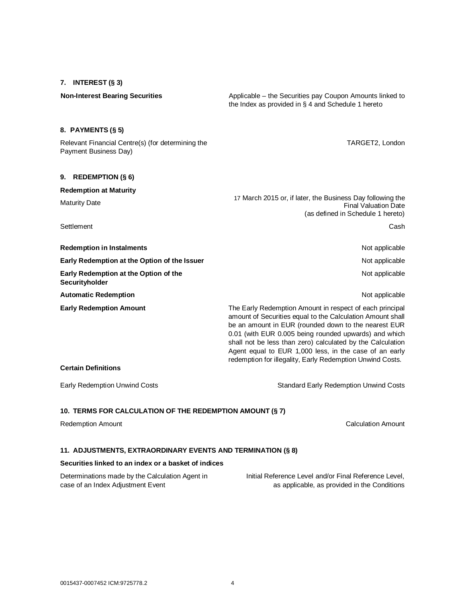**7. INTEREST (§ 3)**

**Non-Interest Bearing Securities** Applicable – the Securities pay Coupon Amounts linked to the Index as provided in § 4 and Schedule 1 hereto

# **8. PAYMENTS (§ 5)**

Relevant Financial Centre(s) (for determining the Payment Business Day)

### **9. REDEMPTION (§ 6)**

| <b>Redemption at Maturity</b>                                                                                                                                                                                                                                                                                                                                                                                                                                                                | 17 March 2015 or, if later, the Business Day following the<br>Final Valuation Date |  |
|----------------------------------------------------------------------------------------------------------------------------------------------------------------------------------------------------------------------------------------------------------------------------------------------------------------------------------------------------------------------------------------------------------------------------------------------------------------------------------------------|------------------------------------------------------------------------------------|--|
| <b>Maturity Date</b>                                                                                                                                                                                                                                                                                                                                                                                                                                                                         |                                                                                    |  |
|                                                                                                                                                                                                                                                                                                                                                                                                                                                                                              | (as defined in Schedule 1 hereto)                                                  |  |
| Settlement                                                                                                                                                                                                                                                                                                                                                                                                                                                                                   | Cash                                                                               |  |
| <b>Redemption in Instalments</b>                                                                                                                                                                                                                                                                                                                                                                                                                                                             | Not applicable                                                                     |  |
| Early Redemption at the Option of the Issuer                                                                                                                                                                                                                                                                                                                                                                                                                                                 | Not applicable                                                                     |  |
| Early Redemption at the Option of the<br>Securityholder                                                                                                                                                                                                                                                                                                                                                                                                                                      | Not applicable                                                                     |  |
| <b>Automatic Redemption</b>                                                                                                                                                                                                                                                                                                                                                                                                                                                                  | Not applicable                                                                     |  |
| <b>Early Redemption Amount</b><br>The Early Redemption Amount in respect of each principal<br>amount of Securities equal to the Calculation Amount shall<br>be an amount in EUR (rounded down to the nearest EUR<br>0.01 (with EUR 0.005 being rounded upwards) and which<br>shall not be less than zero) calculated by the Calculation<br>Agent equal to EUR 1,000 less, in the case of an early<br>redemption for illegality, Early Redemption Unwind Costs.<br><b>Certain Definitions</b> |                                                                                    |  |
|                                                                                                                                                                                                                                                                                                                                                                                                                                                                                              |                                                                                    |  |

Early Redemption Unwind Costs Standard Early Redemption Unwind Costs

# **10. TERMS FOR CALCULATION OF THE REDEMPTION AMOUNT (§ 7)**

Redemption Amount **Calculation Amount** Calculation Amount **Calculation Amount** 

TARGET2, London

# **11. ADJUSTMENTS, EXTRAORDINARY EVENTS AND TERMINATION (§ 8)**

#### **Securities linked to an index or a basket of indices**

Determinations made by the Calculation Agent in case of an Index Adjustment Event

Initial Reference Level and/or Final Reference Level, as applicable, as provided in the Conditions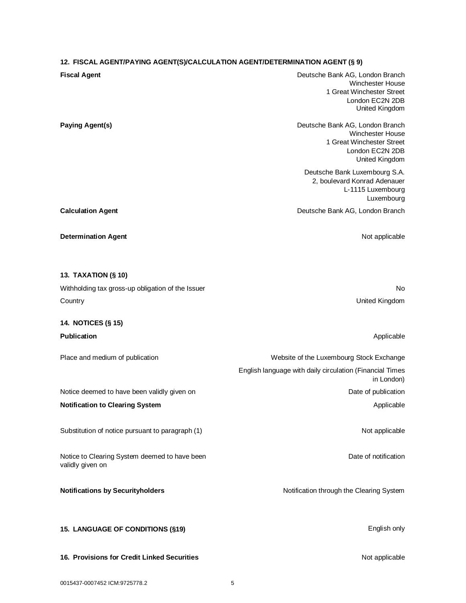# **12. FISCAL AGENT/PAYING AGENT(S)/CALCULATION AGENT/DETERMINATION AGENT (§ 9)**

| <b>IZ. TIOUAL AGENT/FATING AGENT GROALGOLATION AGENT/DETERMINATION AGENT (S 3)</b> |                                                                                                                              |
|------------------------------------------------------------------------------------|------------------------------------------------------------------------------------------------------------------------------|
| <b>Fiscal Agent</b>                                                                | Deutsche Bank AG, London Branch<br><b>Winchester House</b><br>1 Great Winchester Street<br>London EC2N 2DB<br>United Kingdom |
| <b>Paying Agent(s)</b>                                                             | Deutsche Bank AG, London Branch<br><b>Winchester House</b><br>1 Great Winchester Street<br>London EC2N 2DB<br>United Kingdom |
|                                                                                    | Deutsche Bank Luxembourg S.A.<br>2, boulevard Konrad Adenauer<br>L-1115 Luxembourg<br>Luxembourg                             |
| <b>Calculation Agent</b>                                                           | Deutsche Bank AG, London Branch                                                                                              |
| <b>Determination Agent</b>                                                         | Not applicable                                                                                                               |
| <b>13. TAXATION (§ 10)</b>                                                         |                                                                                                                              |
| Withholding tax gross-up obligation of the Issuer                                  | No                                                                                                                           |
| Country                                                                            | United Kingdom                                                                                                               |
| 14. NOTICES (§ 15)                                                                 |                                                                                                                              |
| Publication                                                                        | Applicable                                                                                                                   |
| Place and medium of publication                                                    | Website of the Luxembourg Stock Exchange                                                                                     |
|                                                                                    | English language with daily circulation (Financial Times<br>in London)                                                       |
| Notice deemed to have been validly given on                                        | Date of publication                                                                                                          |
| <b>Notification to Clearing System</b>                                             | Applicable                                                                                                                   |
| Substitution of notice pursuant to paragraph (1)                                   | Not applicable                                                                                                               |
| Notice to Clearing System deemed to have been<br>validly given on                  | Date of notification                                                                                                         |
| <b>Notifications by Securityholders</b>                                            | Notification through the Clearing System                                                                                     |
| 15. LANGUAGE OF CONDITIONS (§19)                                                   | English only                                                                                                                 |
| 16. Provisions for Credit Linked Securities                                        | Not applicable                                                                                                               |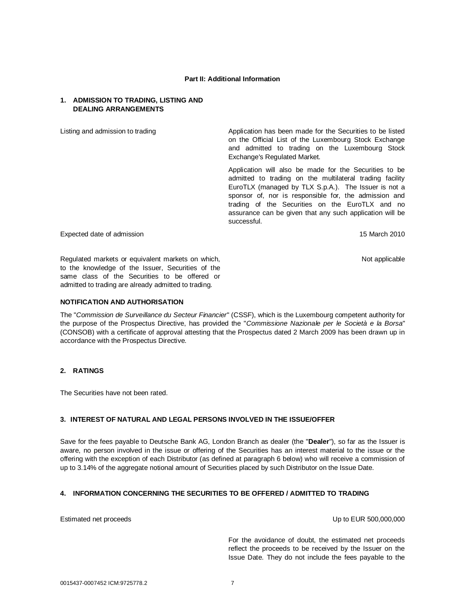#### **Part II: Additional Information**

## **1. ADMISSION TO TRADING, LISTING AND DEALING ARRANGEMENTS**

Listing and admission to trading The Application has been made for the Securities to be listed on the Official List of the Luxembourg Stock Exchange and admitted to trading on the Luxembourg Stock Exchange's Regulated Market.

> Application will also be made for the Securities to be admitted to trading on the multilateral trading facility EuroTLX (managed by TLX S.p.A.). The Issuer is not a sponsor of, nor is responsible for, the admission and trading of the Securities on the EuroTLX and no assurance can be given that any such application will be successful.

Expected date of admission 15 March 2010

Not applicable

Regulated markets or equivalent markets on which, to the knowledge of the Issuer, Securities of the same class of the Securities to be offered or admitted to trading are already admitted to trading.

## **NOTIFICATION AND AUTHORISATION**

The "*Commission de Surveillance du Secteur Financier*" (CSSF), which is the Luxembourg competent authority for the purpose of the Prospectus Directive, has provided the "*Commissione Nazionale per le Società e la Borsa*" (CONSOB) with a certificate of approval attesting that the Prospectus dated 2 March 2009 has been drawn up in accordance with the Prospectus Directive.

# **2. RATINGS**

The Securities have not been rated.

## **3. INTEREST OF NATURAL AND LEGAL PERSONS INVOLVED IN THE ISSUE/OFFER**

Save for the fees payable to Deutsche Bank AG, London Branch as dealer (the "**Dealer**"), so far as the Issuer is aware, no person involved in the issue or offering of the Securities has an interest material to the issue or the offering with the exception of each Distributor (as defined at paragraph 6 below) who will receive a commission of up to 3.14% of the aggregate notional amount of Securities placed by such Distributor on the Issue Date.

## **4. INFORMATION CONCERNING THE SECURITIES TO BE OFFERED / ADMITTED TO TRADING**

Estimated net proceeds Up to EUR 500,000,000

For the avoidance of doubt, the estimated net proceeds reflect the proceeds to be received by the Issuer on the Issue Date. They do not include the fees payable to the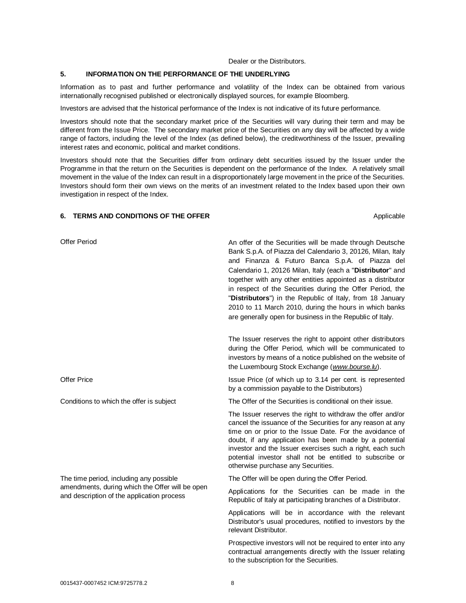#### Dealer or the Distributors.

#### **5. INFORMATION ON THE PERFORMANCE OF THE UNDERLYING**

Information as to past and further performance and volatility of the Index can be obtained from various internationally recognised published or electronically displayed sources, for example Bloomberg.

Investors are advised that the historical performance of the Index is not indicative of its future performance.

Investors should note that the secondary market price of the Securities will vary during their term and may be different from the Issue Price. The secondary market price of the Securities on any day will be affected by a wide range of factors, including the level of the Index (as defined below), the creditworthiness of the Issuer, prevailing interest rates and economic, political and market conditions.

Investors should note that the Securities differ from ordinary debt securities issued by the Issuer under the Programme in that the return on the Securities is dependent on the performance of the Index. A relatively small movement in the value of the Index can result in a disproportionately large movement in the price of the Securities. Investors should form their own views on the merits of an investment related to the Index based upon their own investigation in respect of the Index.

#### **6. TERMS AND CONDITIONS OF THE OFFER Applicable** Applicable

Offer Period **An offer of the Securities will be made through Deutsche** An offer of the Securities will be made through Deutsche Bank S.p.A. of Piazza del Calendario 3, 20126, Milan, Italy and Finanza & Futuro Banca S.p.A. of Piazza del Calendario 1, 20126 Milan, Italy (each a "**Distributor**" and together with any other entities appointed as a distributor in respect of the Securities during the Offer Period, the "**Distributors**") in the Republic of Italy, from 18 January 2010 to 11 March 2010, during the hours in which banks are generally open for business in the Republic of Italy. The Issuer reserves the right to appoint other distributors during the Offer Period, which will be communicated to investors by means of a notice published on the website of the Luxembourg Stock Exchange (*[www.bourse.lu](http://www.bourse.lu)*). Offer Price **Issue Price** (of which up to 3.14 per cent. is represented by a commission payable to the Distributors) Conditions to which the offer is subject The Offer of the Securities is conditional on their issue. The Issuer reserves the right to withdraw the offer and/or cancel the issuance of the Securities for any reason at any time on or prior to the Issue Date. For the avoidance of doubt, if any application has been made by a potential investor and the Issuer exercises such a right, each such potential investor shall not be entitled to subscribe or otherwise purchase any Securities. The time period, including any possible amendments, during which the Offer will be open and description of the application process The Offer will be open during the Offer Period. Applications for the Securities can be made in the Republic of Italy at participating branches of a Distributor. Applications will be in accordance with the relevant Distributor's usual procedures, notified to investors by the relevant Distributor. Prospective investors will not be required to enter into any contractual arrangements directly with the Issuer relating

to the subscription for the Securities.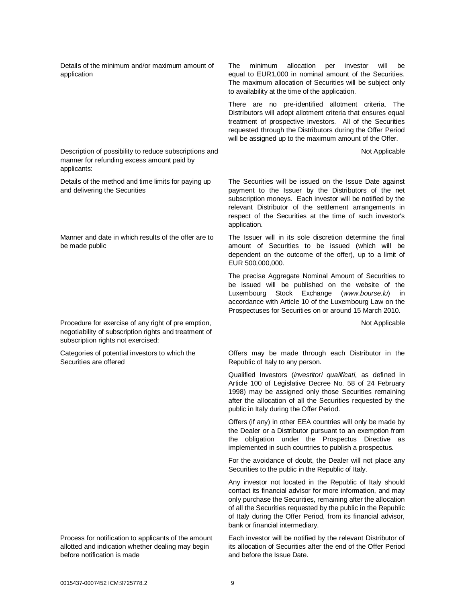Details of the minimum and/or maximum amount of application

Description of possibility to reduce subscriptions and manner for refunding excess amount paid by applicants:

Details of the method and time limits for paying up and delivering the Securities

Manner and date in which results of the offer are to be made public

Procedure for exercise of any right of pre emption, negotiability of subscription rights and treatment of subscription rights not exercised:

Categories of potential investors to which the Securities are offered

Process for notification to applicants of the amount allotted and indication whether dealing may begin before notification is made

The minimum allocation per investor will be equal to EUR1,000 in nominal amount of the Securities. The maximum allocation of Securities will be subject only to availability at the time of the application.

There are no pre-identified allotment criteria. The Distributors will adopt allotment criteria that ensures equal treatment of prospective investors. All of the Securities requested through the Distributors during the Offer Period will be assigned up to the maximum amount of the Offer.

Not Applicable

The Securities will be issued on the Issue Date against payment to the Issuer by the Distributors of the net subscription moneys. Each investor will be notified by the relevant Distributor of the settlement arrangements in respect of the Securities at the time of such investor's application.

The Issuer will in its sole discretion determine the final amount of Securities to be issued (which will be dependent on the outcome of the offer), up to a limit of EUR 500,000,000.

The precise Aggregate Nominal Amount of Securities to be issued will be published on the website of the Luxembourg Stock Exchange (*[www.bourse.lu](http://www.bourse.lu)*) in accordance with Article 10 of the Luxembourg Law on the Prospectuses for Securities on or around 15 March 2010.

Not Applicable

Offers may be made through each Distributor in the Republic of Italy to any person.

Qualified Investors (*investitori qualificati*, as defined in Article 100 of Legislative Decree No. 58 of 24 February 1998) may be assigned only those Securities remaining after the allocation of all the Securities requested by the public in Italy during the Offer Period.

Offers (if any) in other EEA countries will only be made by the Dealer or a Distributor pursuant to an exemption from the obligation under the Prospectus Directive as implemented in such countries to publish a prospectus.

For the avoidance of doubt, the Dealer will not place any Securities to the public in the Republic of Italy.

Any investor not located in the Republic of Italy should contact its financial advisor for more information, and may only purchase the Securities, remaining after the allocation of all the Securities requested by the public in the Republic of Italy during the Offer Period, from its financial advisor, bank or financial intermediary.

Each investor will be notified by the relevant Distributor of its allocation of Securities after the end of the Offer Period and before the Issue Date.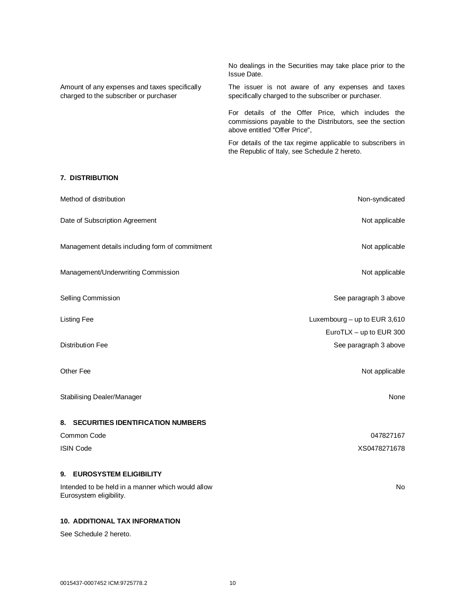No dealings in the Securities may take place prior to the Issue Date. Amount of any expenses and taxes specifically charged to the subscriber or purchaser The issuer is not aware of any expenses and taxes specifically charged to the subscriber or purchaser. For details of the Offer Price, which includes the commissions payable to the Distributors, see the section above entitled "Offer Price",

For details of the tax regime applicable to subscribers in the Republic of Italy, see Schedule 2 hereto.

# **7. DISTRIBUTION**

| Method of distribution                                                       | Non-syndicated               |
|------------------------------------------------------------------------------|------------------------------|
| Date of Subscription Agreement                                               | Not applicable               |
| Management details including form of commitment                              | Not applicable               |
| Management/Underwriting Commission                                           | Not applicable               |
| Selling Commission                                                           | See paragraph 3 above        |
| <b>Listing Fee</b>                                                           | Luxembourg - up to EUR 3,610 |
|                                                                              | EuroTLX - up to EUR 300      |
| <b>Distribution Fee</b>                                                      | See paragraph 3 above        |
| Other Fee                                                                    | Not applicable               |
| Stabilising Dealer/Manager                                                   | None                         |
| 8. SECURITIES IDENTIFICATION NUMBERS                                         |                              |
| Common Code                                                                  | 047827167                    |
| <b>ISIN Code</b>                                                             | XS0478271678                 |
| <b>EUROSYSTEM ELIGIBILITY</b><br>9.                                          |                              |
| Intended to be held in a manner which would allow<br>Eurosystem eligibility. |                              |
| <b>10. ADDITIONAL TAX INFORMATION</b>                                        |                              |

See Schedule 2 hereto.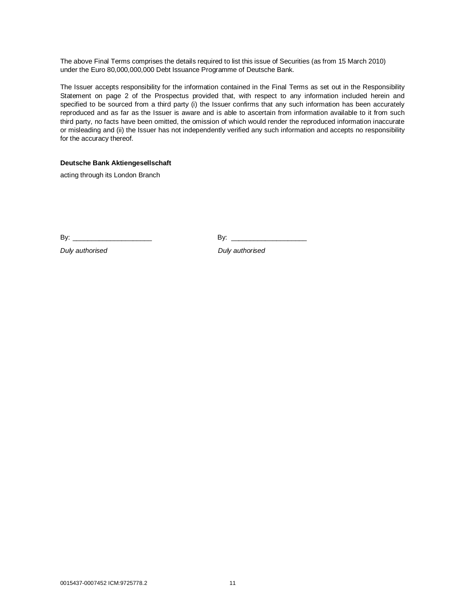The above Final Terms comprises the details required to list this issue of Securities (as from 15 March 2010) under the Euro 80,000,000,000 Debt Issuance Programme of Deutsche Bank.

The Issuer accepts responsibility for the information contained in the Final Terms as set out in the Responsibility Statement on page 2 of the Prospectus provided that, with respect to any information included herein and specified to be sourced from a third party (i) the Issuer confirms that any such information has been accurately reproduced and as far as the Issuer is aware and is able to ascertain from information available to it from such third party, no facts have been omitted, the omission of which would render the reproduced information inaccurate or misleading and (ii) the Issuer has not independently verified any such information and accepts no responsibility for the accuracy thereof.

## **Deutsche Bank Aktiengesellschaft**

acting through its London Branch

By: \_\_\_\_\_\_\_\_\_\_\_\_\_\_\_\_\_\_\_\_\_ By: \_\_\_\_\_\_\_\_\_\_\_\_\_\_\_\_\_\_\_\_

*Duly authorised Duly authorised*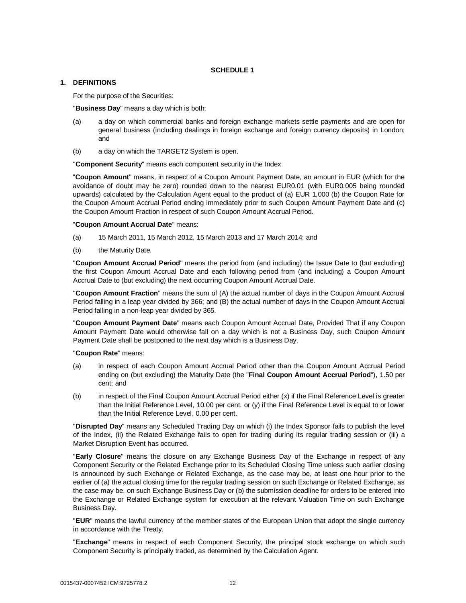## **SCHEDULE 1**

## **1. DEFINITIONS**

For the purpose of the Securities:

"**Business Day**" means a day which is both:

- (a) a day on which commercial banks and foreign exchange markets settle payments and are open for general business (including dealings in foreign exchange and foreign currency deposits) in London; and
- (b) a day on which the TARGET2 System is open.

"**Component Security**" means each component security in the Index

"**Coupon Amount**" means, in respect of a Coupon Amount Payment Date, an amount in EUR (which for the avoidance of doubt may be zero) rounded down to the nearest EUR0.01 (with EUR0.005 being rounded upwards) calculated by the Calculation Agent equal to the product of (a) EUR 1,000 (b) the Coupon Rate for the Coupon Amount Accrual Period ending immediately prior to such Coupon Amount Payment Date and (c) the Coupon Amount Fraction in respect of such Coupon Amount Accrual Period.

#### "**Coupon Amount Accrual Date**" means:

- (a) 15 March 2011, 15 March 2012, 15 March 2013 and 17 March 2014; and
- (b) the Maturity Date.

"**Coupon Amount Accrual Period**" means the period from (and including) the Issue Date to (but excluding) the first Coupon Amount Accrual Date and each following period from (and including) a Coupon Amount Accrual Date to (but excluding) the next occurring Coupon Amount Accrual Date.

"**Coupon Amount Fraction**" means the sum of (A) the actual number of days in the Coupon Amount Accrual Period falling in a leap year divided by 366; and (B) the actual number of days in the Coupon Amount Accrual Period falling in a non-leap year divided by 365.

"**Coupon Amount Payment Date**" means each Coupon Amount Accrual Date, Provided That if any Coupon Amount Payment Date would otherwise fall on a day which is not a Business Day, such Coupon Amount Payment Date shall be postponed to the next day which is a Business Day.

#### "**Coupon Rate**" means:

- (a) in respect of each Coupon Amount Accrual Period other than the Coupon Amount Accrual Period ending on (but excluding) the Maturity Date (the "**Final Coupon Amount Accrual Period**"), 1.50 per cent; and
- (b) in respect of the Final Coupon Amount Accrual Period either (x) if the Final Reference Level is greater than the Initial Reference Level, 10.00 per cent. or (y) if the Final Reference Level is equal to or lower than the Initial Reference Level, 0.00 per cent.

"**Disrupted Day**" means any Scheduled Trading Day on which (i) the Index Sponsor fails to publish the level of the Index, (ii) the Related Exchange fails to open for trading during its regular trading session or (iii) a Market Disruption Event has occurred.

"**Early Closure**" means the closure on any Exchange Business Day of the Exchange in respect of any Component Security or the Related Exchange prior to its Scheduled Closing Time unless such earlier closing is announced by such Exchange or Related Exchange, as the case may be, at least one hour prior to the earlier of (a) the actual closing time for the regular trading session on such Exchange or Related Exchange, as the case may be, on such Exchange Business Day or (b) the submission deadline for orders to be entered into the Exchange or Related Exchange system for execution at the relevant Valuation Time on such Exchange Business Day.

"**EUR**" means the lawful currency of the member states of the European Union that adopt the single currency in accordance with the Treaty.

"**Exchange**" means in respect of each Component Security, the principal stock exchange on which such Component Security is principally traded, as determined by the Calculation Agent.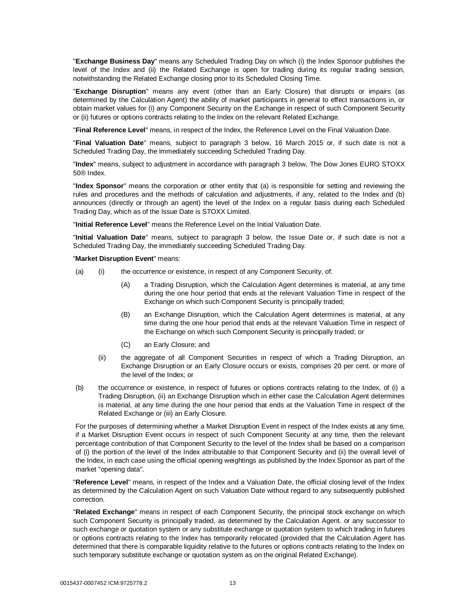"**Exchange Business Day**" means any Scheduled Trading Day on which (i) the Index Sponsor publishes the level of the Index and (ii) the Related Exchange is open for trading during its regular trading session, notwithstanding the Related Exchange closing prior to its Scheduled Closing Time.

"**Exchange Disruption**" means any event (other than an Early Closure) that disrupts or impairs (as determined by the Calculation Agent) the ability of market participants in general to effect transactions in, or obtain market values for (i) any Component Security on the Exchange in respect of such Component Security or (ii) futures or options contracts relating to the Index on the relevant Related Exchange.

"**Final Reference Level**" means, in respect of the Index, the Reference Level on the Final Valuation Date.

"**Final Valuation Date**" means, subject to paragraph 3 below, 16 March 2015 or, if such date is not a Scheduled Trading Day, the immediately succeeding Scheduled Trading Day.

"**Index**" means, subject to adjustment in accordance with paragraph 3 below, The Dow Jones EURO STOXX 50® Index.

"**Index Sponsor**" means the corporation or other entity that (a) is responsible for setting and reviewing the rules and procedures and the methods of calculation and adjustments, if any, related to the Index and (b) announces (directly or through an agent) the level of the Index on a regular basis during each Scheduled Trading Day, which as of the Issue Date is STOXX Limited.

"**Initial Reference Level**" means the Reference Level on the Initial Valuation Date.

"**Initial Valuation Date**" means, subject to paragraph 3 below, the Issue Date or, if such date is not a Scheduled Trading Day, the immediately succeeding Scheduled Trading Day.

"**Market Disruption Event**" means:

- (a) (i) the occurrence or existence, in respect of any Component Security, of:
	- (A) a Trading Disruption, which the Calculation Agent determines is material, at any time during the one hour period that ends at the relevant Valuation Time in respect of the Exchange on which such Component Security is principally traded;
	- (B) an Exchange Disruption, which the Calculation Agent determines is material, at any time during the one hour period that ends at the relevant Valuation Time in respect of the Exchange on which such Component Security is principally traded; or
	- (C) an Early Closure; and
	- (ii) the aggregate of all Component Securities in respect of which a Trading Disruption, an Exchange Disruption or an Early Closure occurs or exists, comprises 20 per cent. or more of the level of the Index; or
- (b) the occurrence or existence, in respect of futures or options contracts relating to the Index, of (i) a Trading Disruption, (ii) an Exchange Disruption which in either case the Calculation Agent determines is material, at any time during the one hour period that ends at the Valuation Time in respect of the Related Exchange or (iii) an Early Closure.

For the purposes of determining whether a Market Disruption Event in respect of the Index exists at any time, if a Market Disruption Event occurs in respect of such Component Security at any time, then the relevant percentage contribution of that Component Security to the level of the Index shall be based on a comparison of (i) the portion of the level of the Index attributable to that Component Security and (ii) the overall level of the Index, in each case using the official opening weightings as published by the Index Sponsor as part of the market "opening data".

"**Reference Level**" means, in respect of the Index and a Valuation Date, the official closing level of the Index as determined by the Calculation Agent on such Valuation Date without regard to any subsequently published correction.

"**Related Exchange**" means in respect of each Component Security, the principal stock exchange on which such Component Security is principally traded, as determined by the Calculation Agent. or any successor to such exchange or quotation system or any substitute exchange or quotation system to which trading in futures or options contracts relating to the Index has temporarily relocated (provided that the Calculation Agent has determined that there is comparable liquidity relative to the futures or options contracts relating to the Index on such temporary substitute exchange or quotation system as on the original Related Exchange).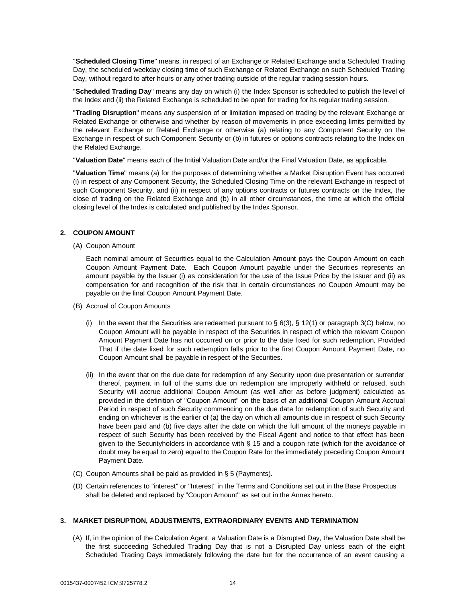"**Scheduled Closing Time**" means, in respect of an Exchange or Related Exchange and a Scheduled Trading Day, the scheduled weekday closing time of such Exchange or Related Exchange on such Scheduled Trading Day, without regard to after hours or any other trading outside of the regular trading session hours.

"**Scheduled Trading Day**" means any day on which (i) the Index Sponsor is scheduled to publish the level of the Index and (ii) the Related Exchange is scheduled to be open for trading for its regular trading session.

"**Trading Disruption**" means any suspension of or limitation imposed on trading by the relevant Exchange or Related Exchange or otherwise and whether by reason of movements in price exceeding limits permitted by the relevant Exchange or Related Exchange or otherwise (a) relating to any Component Security on the Exchange in respect of such Component Security or (b) in futures or options contracts relating to the Index on the Related Exchange.

"**Valuation Date**" means each of the Initial Valuation Date and/or the Final Valuation Date, as applicable.

"**Valuation Time**" means (a) for the purposes of determining whether a Market Disruption Event has occurred (i) in respect of any Component Security, the Scheduled Closing Time on the relevant Exchange in respect of such Component Security, and (ii) in respect of any options contracts or futures contracts on the Index, the close of trading on the Related Exchange and (b) in all other circumstances, the time at which the official closing level of the Index is calculated and published by the Index Sponsor.

### **2. COUPON AMOUNT**

(A) Coupon Amount

Each nominal amount of Securities equal to the Calculation Amount pays the Coupon Amount on each Coupon Amount Payment Date. Each Coupon Amount payable under the Securities represents an amount payable by the Issuer (i) as consideration for the use of the Issue Price by the Issuer and (ii) as compensation for and recognition of the risk that in certain circumstances no Coupon Amount may be payable on the final Coupon Amount Payment Date.

- (B) Accrual of Coupon Amounts
	- (i) In the event that the Securities are redeemed pursuant to  $\S 6(3)$ ,  $\S 12(1)$  or paragraph 3(C) below, no Coupon Amount will be payable in respect of the Securities in respect of which the relevant Coupon Amount Payment Date has not occurred on or prior to the date fixed for such redemption, Provided That if the date fixed for such redemption falls prior to the first Coupon Amount Payment Date, no Coupon Amount shall be payable in respect of the Securities.
	- (ii) In the event that on the due date for redemption of any Security upon due presentation or surrender thereof, payment in full of the sums due on redemption are improperly withheld or refused, such Security will accrue additional Coupon Amount (as well after as before judgment) calculated as provided in the definition of "Coupon Amount" on the basis of an additional Coupon Amount Accrual Period in respect of such Security commencing on the due date for redemption of such Security and ending on whichever is the earlier of (a) the day on which all amounts due in respect of such Security have been paid and (b) five days after the date on which the full amount of the moneys payable in respect of such Security has been received by the Fiscal Agent and notice to that effect has been given to the Securityholders in accordance with § 15 and a coupon rate (which for the avoidance of doubt may be equal to zero) equal to the Coupon Rate for the immediately preceding Coupon Amount Payment Date.
- (C) Coupon Amounts shall be paid as provided in § 5 (Payments).
- (D) Certain references to "interest" or "Interest" in the Terms and Conditions set out in the Base Prospectus shall be deleted and replaced by "Coupon Amount" as set out in the Annex hereto.

#### **3. MARKET DISRUPTION, ADJUSTMENTS, EXTRAORDINARY EVENTS AND TERMINATION**

(A) If, in the opinion of the Calculation Agent, a Valuation Date is a Disrupted Day, the Valuation Date shall be the first succeeding Scheduled Trading Day that is not a Disrupted Day unless each of the eight Scheduled Trading Days immediately following the date but for the occurrence of an event causing a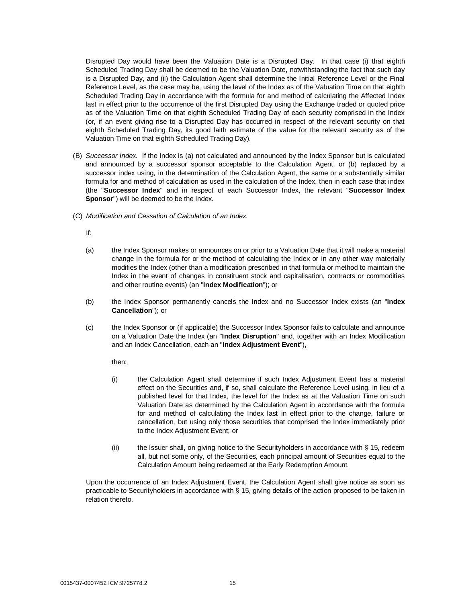Disrupted Day would have been the Valuation Date is a Disrupted Day. In that case (i) that eighth Scheduled Trading Day shall be deemed to be the Valuation Date, notwithstanding the fact that such day is a Disrupted Day, and (ii) the Calculation Agent shall determine the Initial Reference Level or the Final Reference Level, as the case may be, using the level of the Index as of the Valuation Time on that eighth Scheduled Trading Day in accordance with the formula for and method of calculating the Affected Index last in effect prior to the occurrence of the first Disrupted Day using the Exchange traded or quoted price as of the Valuation Time on that eighth Scheduled Trading Day of each security comprised in the Index (or, if an event giving rise to a Disrupted Day has occurred in respect of the relevant security on that eighth Scheduled Trading Day, its good faith estimate of the value for the relevant security as of the Valuation Time on that eighth Scheduled Trading Day).

- (B) *Successor Index.* If the Index is (a) not calculated and announced by the Index Sponsor but is calculated and announced by a successor sponsor acceptable to the Calculation Agent, or (b) replaced by a successor index using, in the determination of the Calculation Agent, the same or a substantially similar formula for and method of calculation as used in the calculation of the Index, then in each case that index (the "**Successor Index**" and in respect of each Successor Index, the relevant "**Successor Index Sponsor**") will be deemed to be the Index.
- (C) *Modification and Cessation of Calculation of an Index.*

If:

- (a) the Index Sponsor makes or announces on or prior to a Valuation Date that it will make a material change in the formula for or the method of calculating the Index or in any other way materially modifies the Index (other than a modification prescribed in that formula or method to maintain the Index in the event of changes in constituent stock and capitalisation, contracts or commodities and other routine events) (an "**Index Modification**"); or
- (b) the Index Sponsor permanently cancels the Index and no Successor Index exists (an "**Index Cancellation**"); or
- (c) the Index Sponsor or (if applicable) the Successor Index Sponsor fails to calculate and announce on a Valuation Date the Index (an "**Index Disruption**" and, together with an Index Modification and an Index Cancellation, each an "**Index Adjustment Event**"),

then:

- (i) the Calculation Agent shall determine if such Index Adjustment Event has a material effect on the Securities and, if so, shall calculate the Reference Level using, in lieu of a published level for that Index, the level for the Index as at the Valuation Time on such Valuation Date as determined by the Calculation Agent in accordance with the formula for and method of calculating the Index last in effect prior to the change, failure or cancellation, but using only those securities that comprised the Index immediately prior to the Index Adjustment Event; or
- (ii) the Issuer shall, on giving notice to the Securityholders in accordance with § 15, redeem all, but not some only, of the Securities, each principal amount of Securities equal to the Calculation Amount being redeemed at the Early Redemption Amount.

Upon the occurrence of an Index Adjustment Event, the Calculation Agent shall give notice as soon as practicable to Securityholders in accordance with § 15, giving details of the action proposed to be taken in relation thereto.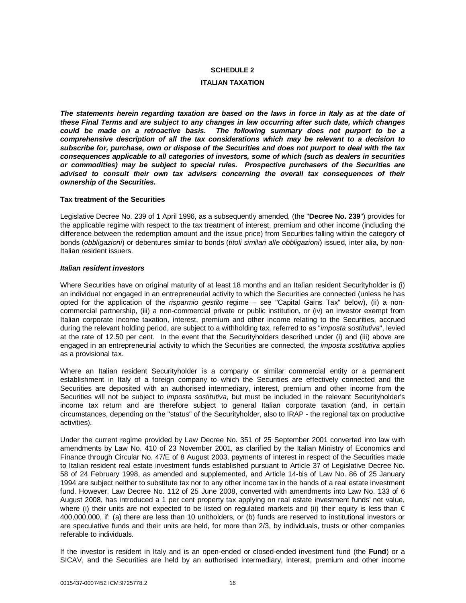## **SCHEDULE 2**

#### **ITALIAN TAXATION**

*The statements herein regarding taxation are based on the laws in force in Italy as at the date of these Final Terms and are subject to any changes in law occurring after such date, which changes could be made on a retroactive basis. The following summary does not purport to be a comprehensive description of all the tax considerations which may be relevant to a decision to subscribe for, purchase, own or dispose of the Securities and does not purport to deal with the tax consequences applicable to all categories of investors, some of which (such as dealers in securities or commodities) may be subject to special rules. Prospective purchasers of the Securities are advised to consult their own tax advisers concerning the overall tax consequences of their ownership of the Securities.*

#### **Tax treatment of the Securities**

Legislative Decree No. 239 of 1 April 1996, as a subsequently amended, (the "**Decree No. 239**") provides for the applicable regime with respect to the tax treatment of interest, premium and other income (including the difference between the redemption amount and the issue price) from Securities falling within the category of bonds (*obbligazioni*) or debentures similar to bonds (*titoli similari alle obbligazioni*) issued, inter alia, by non-Italian resident issuers.

## *Italian resident investors*

Where Securities have on original maturity of at least 18 months and an Italian resident Securityholder is (i) an individual not engaged in an entrepreneurial activity to which the Securities are connected (unless he has opted for the application of the *risparmio gestito* regime – see "Capital Gains Tax" below), (ii) a noncommercial partnership, (iii) a non-commercial private or public institution, or (iv) an investor exempt from Italian corporate income taxation, interest, premium and other income relating to the Securities, accrued during the relevant holding period, are subject to a withholding tax, referred to as "*imposta sostitutiva*", levied at the rate of 12.50 per cent. In the event that the Securityholders described under (i) and (iii) above are engaged in an entrepreneurial activity to which the Securities are connected, the *imposta sostitutiva* applies as a provisional tax.

Where an Italian resident Securityholder is a company or similar commercial entity or a permanent establishment in Italy of a foreign company to which the Securities are effectively connected and the Securities are deposited with an authorised intermediary, interest, premium and other income from the Securities will not be subject to *imposta sostitutiva*, but must be included in the relevant Securityholder's income tax return and are therefore subject to general Italian corporate taxation (and, in certain circumstances, depending on the "status" of the Securityholder, also to IRAP - the regional tax on productive activities).

Under the current regime provided by Law Decree No. 351 of 25 September 2001 converted into law with amendments by Law No. 410 of 23 November 2001, as clarified by the Italian Ministry of Economics and Finance through Circular No. 47/E of 8 August 2003, payments of interest in respect of the Securities made to Italian resident real estate investment funds established pursuant to Article 37 of Legislative Decree No. 58 of 24 February 1998, as amended and supplemented, and Article 14-bis of Law No. 86 of 25 January 1994 are subject neither to substitute tax nor to any other income tax in the hands of a real estate investment fund. However, Law Decree No. 112 of 25 June 2008, converted with amendments into Law No. 133 of 6 August 2008, has introduced a 1 per cent property tax applying on real estate investment funds' net value, where (i) their units are not expected to be listed on regulated markets and (ii) their equity is less than  $\epsilon$ 400,000,000, if: (a) there are less than 10 unitholders, or (b) funds are reserved to institutional investors or are speculative funds and their units are held, for more than 2/3, by individuals, trusts or other companies referable to individuals.

If the investor is resident in Italy and is an open-ended or closed-ended investment fund (the **Fund**) or a SICAV, and the Securities are held by an authorised intermediary, interest, premium and other income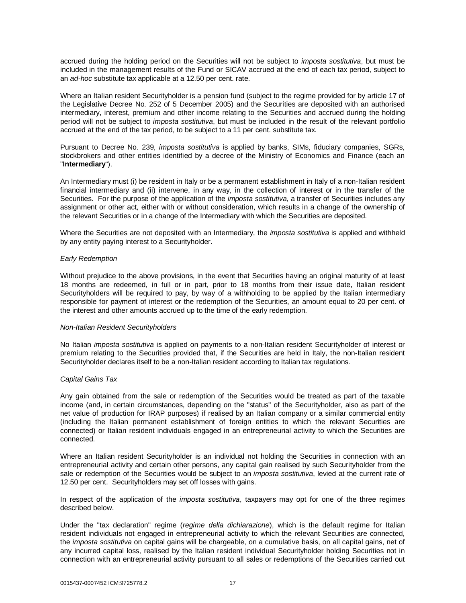accrued during the holding period on the Securities will not be subject to *imposta sostitutiva*, but must be included in the management results of the Fund or SICAV accrued at the end of each tax period, subject to an *ad-hoc* substitute tax applicable at a 12.50 per cent. rate.

Where an Italian resident Securityholder is a pension fund (subject to the regime provided for by article 17 of the Legislative Decree No. 252 of 5 December 2005) and the Securities are deposited with an authorised intermediary, interest, premium and other income relating to the Securities and accrued during the holding period will not be subject to *imposta sostitutiva*, but must be included in the result of the relevant portfolio accrued at the end of the tax period, to be subject to a 11 per cent. substitute tax.

Pursuant to Decree No. 239, *imposta sostitutiva* is applied by banks, SIMs, fiduciary companies, SGRs, stockbrokers and other entities identified by a decree of the Ministry of Economics and Finance (each an "**Intermediary**").

An Intermediary must (i) be resident in Italy or be a permanent establishment in Italy of a non-Italian resident financial intermediary and (ii) intervene, in any way, in the collection of interest or in the transfer of the Securities. For the purpose of the application of the *imposta sostitutiva*, a transfer of Securities includes any assignment or other act, either with or without consideration, which results in a change of the ownership of the relevant Securities or in a change of the Intermediary with which the Securities are deposited.

Where the Securities are not deposited with an Intermediary, the *imposta sostitutiva* is applied and withheld by any entity paying interest to a Securityholder.

#### *Early Redemption*

Without prejudice to the above provisions, in the event that Securities having an original maturity of at least 18 months are redeemed, in full or in part, prior to 18 months from their issue date, Italian resident Securityholders will be required to pay, by way of a withholding to be applied by the Italian intermediary responsible for payment of interest or the redemption of the Securities, an amount equal to 20 per cent. of the interest and other amounts accrued up to the time of the early redemption.

#### *Non-Italian Resident Securityholders*

No Italian *imposta sostitutiva* is applied on payments to a non-Italian resident Securityholder of interest or premium relating to the Securities provided that, if the Securities are held in Italy, the non-Italian resident Securityholder declares itself to be a non-Italian resident according to Italian tax regulations.

## *Capital Gains Tax*

Any gain obtained from the sale or redemption of the Securities would be treated as part of the taxable income (and, in certain circumstances, depending on the "status" of the Securityholder, also as part of the net value of production for IRAP purposes) if realised by an Italian company or a similar commercial entity (including the Italian permanent establishment of foreign entities to which the relevant Securities are connected) or Italian resident individuals engaged in an entrepreneurial activity to which the Securities are connected.

Where an Italian resident Securityholder is an individual not holding the Securities in connection with an entrepreneurial activity and certain other persons, any capital gain realised by such Securityholder from the sale or redemption of the Securities would be subject to an *imposta sostitutiva*, levied at the current rate of 12.50 per cent. Securityholders may set off losses with gains.

In respect of the application of the *imposta sostitutiva*, taxpayers may opt for one of the three regimes described below.

Under the "tax declaration" regime (*regime della dichiarazione*), which is the default regime for Italian resident individuals not engaged in entrepreneurial activity to which the relevant Securities are connected, the *imposta sostitutiva* on capital gains will be chargeable, on a cumulative basis, on all capital gains, net of any incurred capital loss, realised by the Italian resident individual Securityholder holding Securities not in connection with an entrepreneurial activity pursuant to all sales or redemptions of the Securities carried out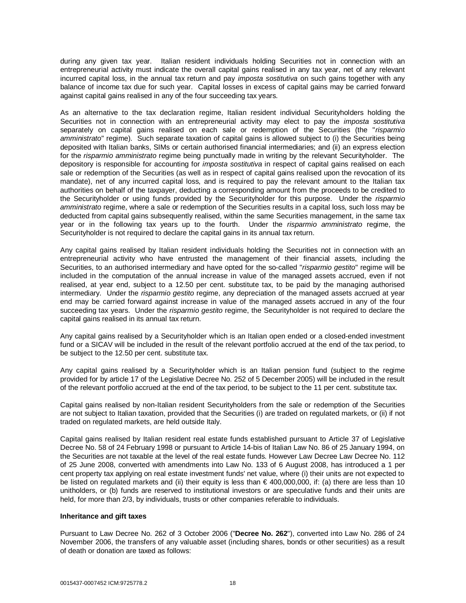during any given tax year. Italian resident individuals holding Securities not in connection with an entrepreneurial activity must indicate the overall capital gains realised in any tax year, net of any relevant incurred capital loss, in the annual tax return and pay *imposta sostitutiva* on such gains together with any balance of income tax due for such year. Capital losses in excess of capital gains may be carried forward against capital gains realised in any of the four succeeding tax years.

As an alternative to the tax declaration regime, Italian resident individual Securityholders holding the Securities not in connection with an entrepreneurial activity may elect to pay the *imposta sostitutiva* separately on capital gains realised on each sale or redemption of the Securities (the "*risparmio amministrato*" regime). Such separate taxation of capital gains is allowed subject to (i) the Securities being deposited with Italian banks, SIMs or certain authorised financial intermediaries; and (ii) an express election for the *risparmio amministrato* regime being punctually made in writing by the relevant Securityholder. The depository is responsible for accounting for *imposta sostitutiva* in respect of capital gains realised on each sale or redemption of the Securities (as well as in respect of capital gains realised upon the revocation of its mandate), net of any incurred capital loss, and is required to pay the relevant amount to the Italian tax authorities on behalf of the taxpayer, deducting a corresponding amount from the proceeds to be credited to the Securityholder or using funds provided by the Securityholder for this purpose. Under the *risparmio amministrato* regime, where a sale or redemption of the Securities results in a capital loss, such loss may be deducted from capital gains subsequently realised, within the same Securities management, in the same tax year or in the following tax years up to the fourth. Under the *risparmio amministrato* regime, the Securityholder is not required to declare the capital gains in its annual tax return.

Any capital gains realised by Italian resident individuals holding the Securities not in connection with an entrepreneurial activity who have entrusted the management of their financial assets, including the Securities, to an authorised intermediary and have opted for the so-called "*risparmio gestito*" regime will be included in the computation of the annual increase in value of the managed assets accrued, even if not realised, at year end, subject to a 12.50 per cent. substitute tax, to be paid by the managing authorised intermediary. Under the *risparmio gestito* regime, any depreciation of the managed assets accrued at year end may be carried forward against increase in value of the managed assets accrued in any of the four succeeding tax years. Under the *risparmio gestito* regime, the Securityholder is not required to declare the capital gains realised in its annual tax return.

Any capital gains realised by a Securityholder which is an Italian open ended or a closed-ended investment fund or a SICAV will be included in the result of the relevant portfolio accrued at the end of the tax period, to be subject to the 12.50 per cent. substitute tax.

Any capital gains realised by a Securityholder which is an Italian pension fund (subject to the regime provided for by article 17 of the Legislative Decree No. 252 of 5 December 2005) will be included in the result of the relevant portfolio accrued at the end of the tax period, to be subject to the 11 per cent. substitute tax.

Capital gains realised by non-Italian resident Securityholders from the sale or redemption of the Securities are not subject to Italian taxation, provided that the Securities (i) are traded on regulated markets, or (ii) if not traded on regulated markets, are held outside Italy.

Capital gains realised by Italian resident real estate funds established pursuant to Article 37 of Legislative Decree No. 58 of 24 February 1998 or pursuant to Article 14-bis of Italian Law No. 86 of 25 January 1994, on the Securities are not taxable at the level of the real estate funds. However Law Decree Law Decree No. 112 of 25 June 2008, converted with amendments into Law No. 133 of 6 August 2008, has introduced a 1 per cent property tax applying on real estate investment funds' net value, where (i) their units are not expected to be listed on regulated markets and (ii) their equity is less than € 400,000,000, if: (a) there are less than 10 unitholders, or (b) funds are reserved to institutional investors or are speculative funds and their units are held, for more than 2/3, by individuals, trusts or other companies referable to individuals.

#### **Inheritance and gift taxes**

Pursuant to Law Decree No. 262 of 3 October 2006 ("**Decree No. 262**"), converted into Law No. 286 of 24 November 2006, the transfers of any valuable asset (including shares, bonds or other securities) as a result of death or donation are taxed as follows: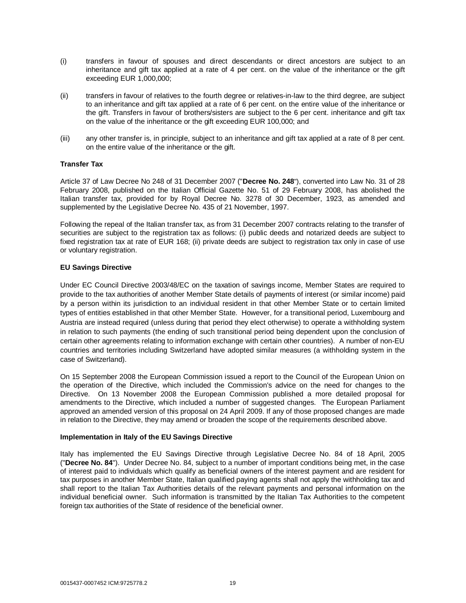- (i) transfers in favour of spouses and direct descendants or direct ancestors are subject to an inheritance and gift tax applied at a rate of 4 per cent. on the value of the inheritance or the gift exceeding EUR 1,000,000;
- (ii) transfers in favour of relatives to the fourth degree or relatives-in-law to the third degree, are subject to an inheritance and gift tax applied at a rate of 6 per cent. on the entire value of the inheritance or the gift. Transfers in favour of brothers/sisters are subject to the 6 per cent. inheritance and gift tax on the value of the inheritance or the gift exceeding EUR 100,000; and
- (iii) any other transfer is, in principle, subject to an inheritance and gift tax applied at a rate of 8 per cent. on the entire value of the inheritance or the gift.

## **Transfer Tax**

Article 37 of Law Decree No 248 of 31 December 2007 ("**Decree No. 248**"), converted into Law No. 31 of 28 February 2008, published on the Italian Official Gazette No. 51 of 29 February 2008, has abolished the Italian transfer tax, provided for by Royal Decree No. 3278 of 30 December, 1923, as amended and supplemented by the Legislative Decree No. 435 of 21 November, 1997.

Following the repeal of the Italian transfer tax, as from 31 December 2007 contracts relating to the transfer of securities are subject to the registration tax as follows: (i) public deeds and notarized deeds are subject to fixed registration tax at rate of EUR 168; (ii) private deeds are subject to registration tax only in case of use or voluntary registration.

## **EU Savings Directive**

Under EC Council Directive 2003/48/EC on the taxation of savings income, Member States are required to provide to the tax authorities of another Member State details of payments of interest (or similar income) paid by a person within its jurisdiction to an individual resident in that other Member State or to certain limited types of entities established in that other Member State. However, for a transitional period, Luxembourg and Austria are instead required (unless during that period they elect otherwise) to operate a withholding system in relation to such payments (the ending of such transitional period being dependent upon the conclusion of certain other agreements relating to information exchange with certain other countries). A number of non-EU countries and territories including Switzerland have adopted similar measures (a withholding system in the case of Switzerland).

On 15 September 2008 the European Commission issued a report to the Council of the European Union on the operation of the Directive, which included the Commission's advice on the need for changes to the Directive. On 13 November 2008 the European Commission published a more detailed proposal for amendments to the Directive, which included a number of suggested changes. The European Parliament approved an amended version of this proposal on 24 April 2009. If any of those proposed changes are made in relation to the Directive, they may amend or broaden the scope of the requirements described above.

#### **Implementation in Italy of the EU Savings Directive**

Italy has implemented the EU Savings Directive through Legislative Decree No. 84 of 18 April, 2005 ("**Decree No. 84**"). Under Decree No. 84, subject to a number of important conditions being met, in the case of interest paid to individuals which qualify as beneficial owners of the interest payment and are resident for tax purposes in another Member State, Italian qualified paying agents shall not apply the withholding tax and shall report to the Italian Tax Authorities details of the relevant payments and personal information on the individual beneficial owner. Such information is transmitted by the Italian Tax Authorities to the competent foreign tax authorities of the State of residence of the beneficial owner.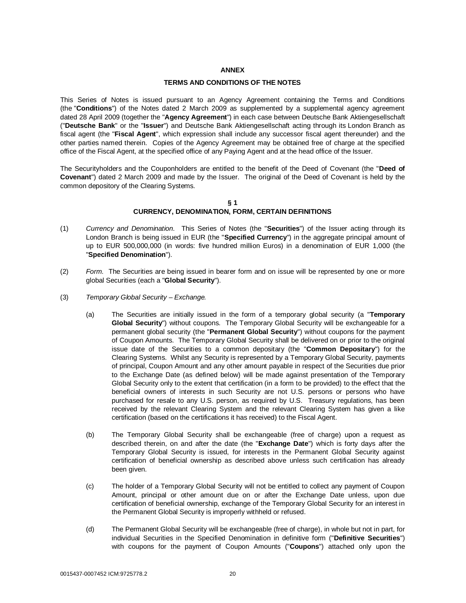### **ANNEX**

#### **TERMS AND CONDITIONS OF THE NOTES**

This Series of Notes is issued pursuant to an Agency Agreement containing the Terms and Conditions (the "**Conditions**") of the Notes dated 2 March 2009 as supplemented by a supplemental agency agreement dated 28 April 2009 (together the "**Agency Agreement**") in each case between Deutsche Bank Aktiengesellschaft ("**Deutsche Bank**" or the "**Issuer**") and Deutsche Bank Aktiengesellschaft acting through its London Branch as fiscal agent (the "**Fiscal Agent**", which expression shall include any successor fiscal agent thereunder) and the other parties named therein. Copies of the Agency Agreement may be obtained free of charge at the specified office of the Fiscal Agent, at the specified office of any Paying Agent and at the head office of the Issuer.

The Securityholders and the Couponholders are entitled to the benefit of the Deed of Covenant (the "**Deed of Covenant**") dated 2 March 2009 and made by the Issuer. The original of the Deed of Covenant is held by the common depository of the Clearing Systems.

#### **§ 1 CURRENCY, DENOMINATION, FORM, CERTAIN DEFINITIONS**

- (1) *Currency and Denomination*. This Series of Notes (the "**Securities**") of the Issuer acting through its London Branch is being issued in EUR (the "**Specified Currency**") in the aggregate principal amount of up to EUR 500,000,000 (in words: five hundred million Euros) in a denomination of EUR 1,000 (the "**Specified Denomination**").
- (2) *Form*. The Securities are being issued in bearer form and on issue will be represented by one or more global Securities (each a "**Global Security**").
- (3) *Temporary Global Security Exchange.*
	- (a) The Securities are initially issued in the form of a temporary global security (a "**Temporary Global Security**") without coupons. The Temporary Global Security will be exchangeable for a permanent global security (the "**Permanent Global Security**") without coupons for the payment of Coupon Amounts. The Temporary Global Security shall be delivered on or prior to the original issue date of the Securities to a common depositary (the "**Common Depositary**") for the Clearing Systems. Whilst any Security is represented by a Temporary Global Security, payments of principal, Coupon Amount and any other amount payable in respect of the Securities due prior to the Exchange Date (as defined below) will be made against presentation of the Temporary Global Security only to the extent that certification (in a form to be provided) to the effect that the beneficial owners of interests in such Security are not U.S. persons or persons who have purchased for resale to any U.S. person, as required by U.S. Treasury regulations, has been received by the relevant Clearing System and the relevant Clearing System has given a like certification (based on the certifications it has received) to the Fiscal Agent.
	- (b) The Temporary Global Security shall be exchangeable (free of charge) upon a request as described therein, on and after the date (the "**Exchange Date**") which is forty days after the Temporary Global Security is issued, for interests in the Permanent Global Security against certification of beneficial ownership as described above unless such certification has already been given.
	- (c) The holder of a Temporary Global Security will not be entitled to collect any payment of Coupon Amount, principal or other amount due on or after the Exchange Date unless, upon due certification of beneficial ownership, exchange of the Temporary Global Security for an interest in the Permanent Global Security is improperly withheld or refused.
	- (d) The Permanent Global Security will be exchangeable (free of charge), in whole but not in part, for individual Securities in the Specified Denomination in definitive form ("**Definitive Securities**") with coupons for the payment of Coupon Amounts ("**Coupons**") attached only upon the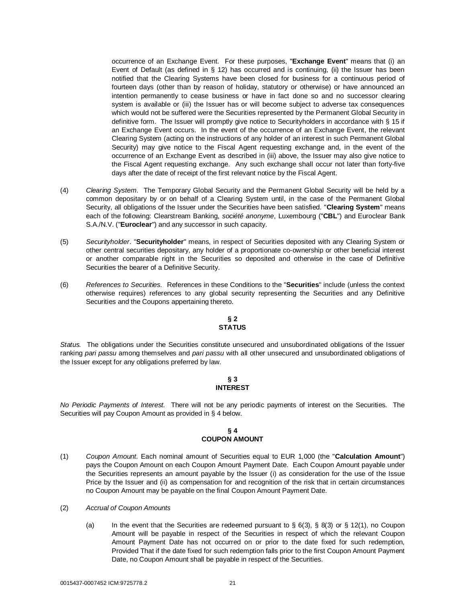occurrence of an Exchange Event. For these purposes, "**Exchange Event**" means that (i) an Event of Default (as defined in § 12) has occurred and is continuing, (ii) the Issuer has been notified that the Clearing Systems have been closed for business for a continuous period of fourteen days (other than by reason of holiday, statutory or otherwise) or have announced an intention permanently to cease business or have in fact done so and no successor clearing system is available or (iii) the Issuer has or will become subject to adverse tax consequences which would not be suffered were the Securities represented by the Permanent Global Security in definitive form. The Issuer will promptly give notice to Securityholders in accordance with § 15 if an Exchange Event occurs. In the event of the occurrence of an Exchange Event, the relevant Clearing System (acting on the instructions of any holder of an interest in such Permanent Global Security) may give notice to the Fiscal Agent requesting exchange and, in the event of the occurrence of an Exchange Event as described in (iii) above, the Issuer may also give notice to the Fiscal Agent requesting exchange. Any such exchange shall occur not later than forty-five days after the date of receipt of the first relevant notice by the Fiscal Agent.

- (4) *Clearing System*. The Temporary Global Security and the Permanent Global Security will be held by a common depositary by or on behalf of a Clearing System until, in the case of the Permanent Global Security, all obligations of the Issuer under the Securities have been satisfied. "**Clearing System**" means each of the following: Clearstream Banking, *société anonyme*, Luxembourg ("**CBL**") and Euroclear Bank S.A./N.V. ("**Euroclear**") and any successor in such capacity.
- (5) *Securityholder*. "**Securityholder**" means, in respect of Securities deposited with any Clearing System or other central securities depositary, any holder of a proportionate co-ownership or other beneficial interest or another comparable right in the Securities so deposited and otherwise in the case of Definitive Securities the bearer of a Definitive Security.
- (6) *References to Securities.* References in these Conditions to the "**Securities**" include (unless the context otherwise requires) references to any global security representing the Securities and any Definitive Securities and the Coupons appertaining thereto.

## **§ 2 STATUS**

*Status.* The obligations under the Securities constitute unsecured and unsubordinated obligations of the Issuer ranking *pari passu* among themselves and *pari passu* with all other unsecured and unsubordinated obligations of the Issuer except for any obligations preferred by law.

## **§ 3 INTEREST**

*No Periodic Payments of Interest.* There will not be any periodic payments of interest on the Securities. The Securities will pay Coupon Amount as provided in § 4 below.

## **§ 4 COUPON AMOUNT**

- (1) *Coupon Amount*. Each nominal amount of Securities equal to EUR 1,000 (the "**Calculation Amount**") pays the Coupon Amount on each Coupon Amount Payment Date. Each Coupon Amount payable under the Securities represents an amount payable by the Issuer (i) as consideration for the use of the Issue Price by the Issuer and (ii) as compensation for and recognition of the risk that in certain circumstances no Coupon Amount may be payable on the final Coupon Amount Payment Date.
- (2) *Accrual of Coupon Amounts*
	- (a) In the event that the Securities are redeemed pursuant to  $\S$  6(3),  $\S$  8(3) or  $\S$  12(1), no Coupon Amount will be payable in respect of the Securities in respect of which the relevant Coupon Amount Payment Date has not occurred on or prior to the date fixed for such redemption, Provided That if the date fixed for such redemption falls prior to the first Coupon Amount Payment Date, no Coupon Amount shall be payable in respect of the Securities.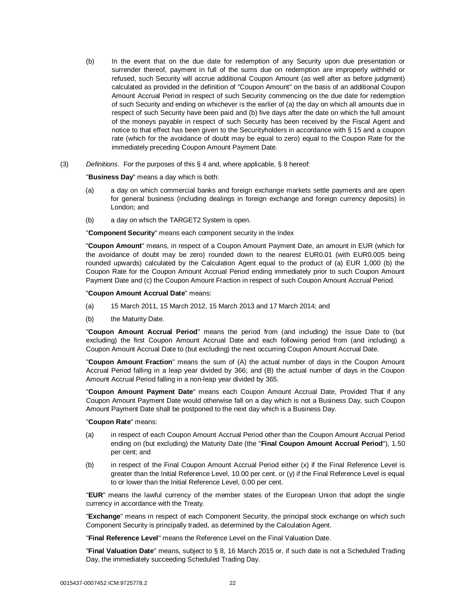- (b) In the event that on the due date for redemption of any Security upon due presentation or surrender thereof, payment in full of the sums due on redemption are improperly withheld or refused, such Security will accrue additional Coupon Amount (as well after as before judgment) calculated as provided in the definition of "Coupon Amount" on the basis of an additional Coupon Amount Accrual Period in respect of such Security commencing on the due date for redemption of such Security and ending on whichever is the earlier of (a) the day on which all amounts due in respect of such Security have been paid and (b) five days after the date on which the full amount of the moneys payable in respect of such Security has been received by the Fiscal Agent and notice to that effect has been given to the Securityholders in accordance with § 15 and a coupon rate (which for the avoidance of doubt may be equal to zero) equal to the Coupon Rate for the immediately preceding Coupon Amount Payment Date.
- (3) *Definitions*. For the purposes of this § 4 and, where applicable, § 8 hereof:

"**Business Day**" means a day which is both:

- (a) a day on which commercial banks and foreign exchange markets settle payments and are open for general business (including dealings in foreign exchange and foreign currency deposits) in London; and
- (b) a day on which the TARGET2 System is open.

"**Component Security**" means each component security in the Index

"**Coupon Amount**" means, in respect of a Coupon Amount Payment Date, an amount in EUR (which for the avoidance of doubt may be zero) rounded down to the nearest EUR0.01 (with EUR0.005 being rounded upwards) calculated by the Calculation Agent equal to the product of (a) EUR 1,000 (b) the Coupon Rate for the Coupon Amount Accrual Period ending immediately prior to such Coupon Amount Payment Date and (c) the Coupon Amount Fraction in respect of such Coupon Amount Accrual Period.

#### "**Coupon Amount Accrual Date**" means:

- (a) 15 March 2011, 15 March 2012, 15 March 2013 and 17 March 2014; and
- (b) the Maturity Date.

"**Coupon Amount Accrual Period**" means the period from (and including) the Issue Date to (but excluding) the first Coupon Amount Accrual Date and each following period from (and including) a Coupon Amount Accrual Date to (but excluding) the next occurring Coupon Amount Accrual Date.

"**Coupon Amount Fraction**" means the sum of (A) the actual number of days in the Coupon Amount Accrual Period falling in a leap year divided by 366; and (B) the actual number of days in the Coupon Amount Accrual Period falling in a non-leap year divided by 365.

"**Coupon Amount Payment Date**" means each Coupon Amount Accrual Date, Provided That if any Coupon Amount Payment Date would otherwise fall on a day which is not a Business Day, such Coupon Amount Payment Date shall be postponed to the next day which is a Business Day.

#### "**Coupon Rate**" means:

- (a) in respect of each Coupon Amount Accrual Period other than the Coupon Amount Accrual Period ending on (but excluding) the Maturity Date (the "**Final Coupon Amount Accrual Period**"), 1.50 per cent; and
- (b) in respect of the Final Coupon Amount Accrual Period either (x) if the Final Reference Level is greater than the Initial Reference Level, 10.00 per cent. or (y) if the Final Reference Level is equal to or lower than the Initial Reference Level, 0.00 per cent.

"**EUR**" means the lawful currency of the member states of the European Union that adopt the single currency in accordance with the Treaty.

"**Exchange**" means in respect of each Component Security, the principal stock exchange on which such Component Security is principally traded, as determined by the Calculation Agent.

"**Final Reference Level**" means the Reference Level on the Final Valuation Date.

"**Final Valuation Date**" means, subject to § 8, 16 March 2015 or, if such date is not a Scheduled Trading Day, the immediately succeeding Scheduled Trading Day.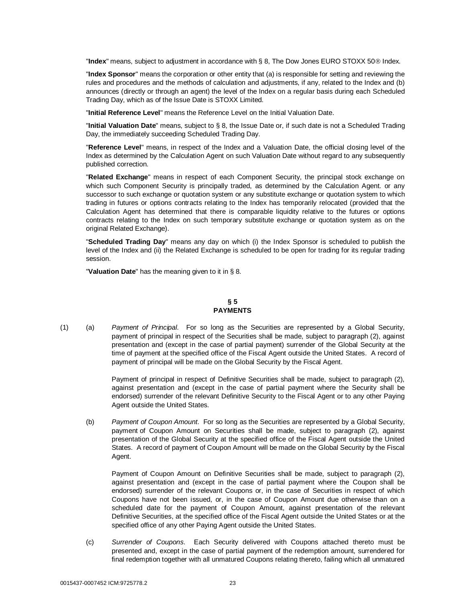"Index" means, subject to adjustment in accordance with § 8, The Dow Jones EURO STOXX 50<sup>®</sup> Index.

"**Index Sponsor**" means the corporation or other entity that (a) is responsible for setting and reviewing the rules and procedures and the methods of calculation and adjustments, if any, related to the Index and (b) announces (directly or through an agent) the level of the Index on a regular basis during each Scheduled Trading Day, which as of the Issue Date is STOXX Limited.

"**Initial Reference Level**" means the Reference Level on the Initial Valuation Date.

"**Initial Valuation Date**" means, subject to § 8, the Issue Date or, if such date is not a Scheduled Trading Day, the immediately succeeding Scheduled Trading Day.

"**Reference Level**" means, in respect of the Index and a Valuation Date, the official closing level of the Index as determined by the Calculation Agent on such Valuation Date without regard to any subsequently published correction.

"**Related Exchange**" means in respect of each Component Security, the principal stock exchange on which such Component Security is principally traded, as determined by the Calculation Agent. or any successor to such exchange or quotation system or any substitute exchange or quotation system to which trading in futures or options contracts relating to the Index has temporarily relocated (provided that the Calculation Agent has determined that there is comparable liquidity relative to the futures or options contracts relating to the Index on such temporary substitute exchange or quotation system as on the original Related Exchange).

"**Scheduled Trading Day**" means any day on which (i) the Index Sponsor is scheduled to publish the level of the Index and (ii) the Related Exchange is scheduled to be open for trading for its regular trading session.

"**Valuation Date**" has the meaning given to it in § 8.

## **§ 5 PAYMENTS**

(1) (a) *Payment of Principal*. For so long as the Securities are represented by a Global Security, payment of principal in respect of the Securities shall be made, subject to paragraph (2), against presentation and (except in the case of partial payment) surrender of the Global Security at the time of payment at the specified office of the Fiscal Agent outside the United States. A record of payment of principal will be made on the Global Security by the Fiscal Agent.

> Payment of principal in respect of Definitive Securities shall be made, subject to paragraph (2), against presentation and (except in the case of partial payment where the Security shall be endorsed) surrender of the relevant Definitive Security to the Fiscal Agent or to any other Paying Agent outside the United States.

(b) *Payment of Coupon Amount*. For so long as the Securities are represented by a Global Security, payment of Coupon Amount on Securities shall be made, subject to paragraph (2), against presentation of the Global Security at the specified office of the Fiscal Agent outside the United States. A record of payment of Coupon Amount will be made on the Global Security by the Fiscal Agent.

Payment of Coupon Amount on Definitive Securities shall be made, subject to paragraph (2), against presentation and (except in the case of partial payment where the Coupon shall be endorsed) surrender of the relevant Coupons or, in the case of Securities in respect of which Coupons have not been issued, or, in the case of Coupon Amount due otherwise than on a scheduled date for the payment of Coupon Amount, against presentation of the relevant Definitive Securities, at the specified office of the Fiscal Agent outside the United States or at the specified office of any other Paying Agent outside the United States.

(c) *Surrender of Coupons*. Each Security delivered with Coupons attached thereto must be presented and, except in the case of partial payment of the redemption amount, surrendered for final redemption together with all unmatured Coupons relating thereto, failing which all unmatured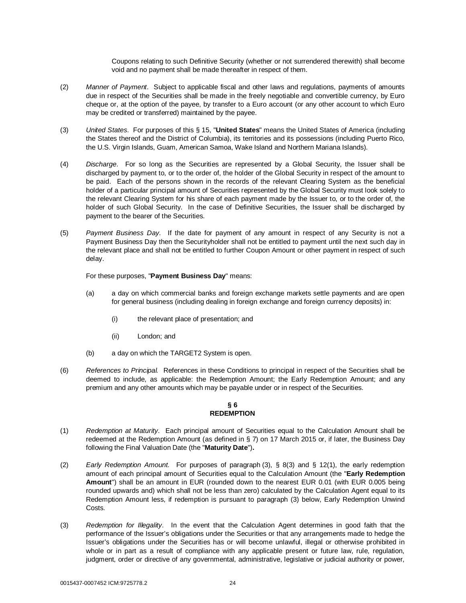Coupons relating to such Definitive Security (whether or not surrendered therewith) shall become void and no payment shall be made thereafter in respect of them.

- (2) *Manner of Payment*. Subject to applicable fiscal and other laws and regulations, payments of amounts due in respect of the Securities shall be made in the freely negotiable and convertible currency, by Euro cheque or, at the option of the payee, by transfer to a Euro account (or any other account to which Euro may be credited or transferred) maintained by the payee.
- (3) *United States*. For purposes of this § 15, "**United States**" means the United States of America (including the States thereof and the District of Columbia), its territories and its possessions (including Puerto Rico, the U.S. Virgin Islands, Guam, American Samoa, Wake Island and Northern Mariana Islands).
- (4) *Discharge*. For so long as the Securities are represented by a Global Security, the Issuer shall be discharged by payment to, or to the order of, the holder of the Global Security in respect of the amount to be paid. Each of the persons shown in the records of the relevant Clearing System as the beneficial holder of a particular principal amount of Securities represented by the Global Security must look solely to the relevant Clearing System for his share of each payment made by the Issuer to, or to the order of, the holder of such Global Security. In the case of Definitive Securities, the Issuer shall be discharged by payment to the bearer of the Securities.
- (5) *Payment Business Day*. If the date for payment of any amount in respect of any Security is not a Payment Business Day then the Securityholder shall not be entitled to payment until the next such day in the relevant place and shall not be entitled to further Coupon Amount or other payment in respect of such delay.

For these purposes, "**Payment Business Day**" means:

- (a) a day on which commercial banks and foreign exchange markets settle payments and are open for general business (including dealing in foreign exchange and foreign currency deposits) in:
	- (i) the relevant place of presentation; and
	- (ii) London; and
- (b) a day on which the TARGET2 System is open.
- (6) *References to Principal.* References in these Conditions to principal in respect of the Securities shall be deemed to include, as applicable: the Redemption Amount; the Early Redemption Amount; and any premium and any other amounts which may be payable under or in respect of the Securities.

# **§ 6 REDEMPTION**

- (1) *Redemption at Maturity*. Each principal amount of Securities equal to the Calculation Amount shall be redeemed at the Redemption Amount (as defined in § 7) on 17 March 2015 or, if later, the Business Day following the Final Valuation Date (the "**Maturity Date**")**.**
- (2) *Early Redemption Amount.* For purposes of paragraph (3), § 8(3) and § 12(1), the early redemption amount of each principal amount of Securities equal to the Calculation Amount (the "**Early Redemption Amount**") shall be an amount in EUR (rounded down to the nearest EUR 0.01 (with EUR 0.005 being rounded upwards and) which shall not be less than zero) calculated by the Calculation Agent equal to its Redemption Amount less, if redemption is pursuant to paragraph (3) below, Early Redemption Unwind Costs.
- (3) *Redemption for Illegality*. In the event that the Calculation Agent determines in good faith that the performance of the Issuer's obligations under the Securities or that any arrangements made to hedge the Issuer's obligations under the Securities has or will become unlawful, illegal or otherwise prohibited in whole or in part as a result of compliance with any applicable present or future law, rule, regulation, judgment, order or directive of any governmental, administrative, legislative or judicial authority or power,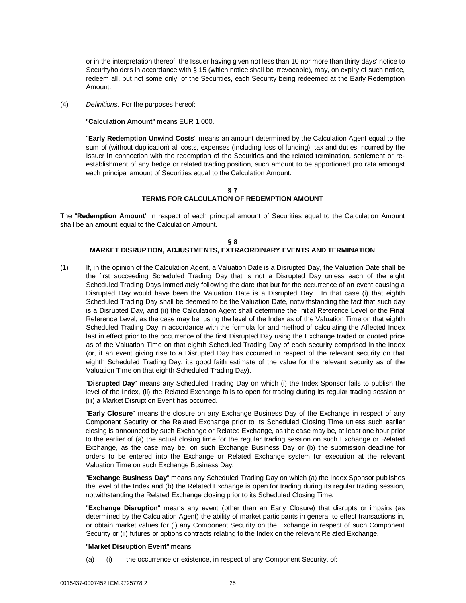or in the interpretation thereof, the Issuer having given not less than 10 nor more than thirty days' notice to Securityholders in accordance with § 15 (which notice shall be irrevocable), may, on expiry of such notice, redeem all, but not some only, of the Securities, each Security being redeemed at the Early Redemption Amount.

(4) *Definitions.* For the purposes hereof:

"**Calculation Amount**" means EUR 1,000.

"**Early Redemption Unwind Costs**" means an amount determined by the Calculation Agent equal to the sum of (without duplication) all costs, expenses (including loss of funding), tax and duties incurred by the Issuer in connection with the redemption of the Securities and the related termination, settlement or reestablishment of any hedge or related trading position, such amount to be apportioned pro rata amongst each principal amount of Securities equal to the Calculation Amount.

## **§ 7 TERMS FOR CALCULATION OF REDEMPTION AMOUNT**

The "**Redemption Amount**" in respect of each principal amount of Securities equal to the Calculation Amount shall be an amount equal to the Calculation Amount.

## **§ 8 MARKET DISRUPTION, ADJUSTMENTS, EXTRAORDINARY EVENTS AND TERMINATION**

(1) If, in the opinion of the Calculation Agent, a Valuation Date is a Disrupted Day, the Valuation Date shall be the first succeeding Scheduled Trading Day that is not a Disrupted Day unless each of the eight Scheduled Trading Days immediately following the date that but for the occurrence of an event causing a Disrupted Day would have been the Valuation Date is a Disrupted Day. In that case (i) that eighth Scheduled Trading Day shall be deemed to be the Valuation Date, notwithstanding the fact that such day is a Disrupted Day, and (ii) the Calculation Agent shall determine the Initial Reference Level or the Final Reference Level, as the case may be, using the level of the Index as of the Valuation Time on that eighth Scheduled Trading Day in accordance with the formula for and method of calculating the Affected Index last in effect prior to the occurrence of the first Disrupted Day using the Exchange traded or quoted price as of the Valuation Time on that eighth Scheduled Trading Day of each security comprised in the Index (or, if an event giving rise to a Disrupted Day has occurred in respect of the relevant security on that eighth Scheduled Trading Day, its good faith estimate of the value for the relevant security as of the Valuation Time on that eighth Scheduled Trading Day).

"**Disrupted Day**" means any Scheduled Trading Day on which (i) the Index Sponsor fails to publish the level of the Index, (ii) the Related Exchange fails to open for trading during its regular trading session or (iii) a Market Disruption Event has occurred.

"**Early Closure**" means the closure on any Exchange Business Day of the Exchange in respect of any Component Security or the Related Exchange prior to its Scheduled Closing Time unless such earlier closing is announced by such Exchange or Related Exchange, as the case may be, at least one hour prior to the earlier of (a) the actual closing time for the regular trading session on such Exchange or Related Exchange, as the case may be, on such Exchange Business Day or (b) the submission deadline for orders to be entered into the Exchange or Related Exchange system for execution at the relevant Valuation Time on such Exchange Business Day.

"**Exchange Business Day**" means any Scheduled Trading Day on which (a) the Index Sponsor publishes the level of the Index and (b) the Related Exchange is open for trading during its regular trading session, notwithstanding the Related Exchange closing prior to its Scheduled Closing Time.

"**Exchange Disruption**" means any event (other than an Early Closure) that disrupts or impairs (as determined by the Calculation Agent) the ability of market participants in general to effect transactions in, or obtain market values for (i) any Component Security on the Exchange in respect of such Component Security or (ii) futures or options contracts relating to the Index on the relevant Related Exchange.

#### "**Market Disruption Event**" means:

(a) (i) the occurrence or existence, in respect of any Component Security, of: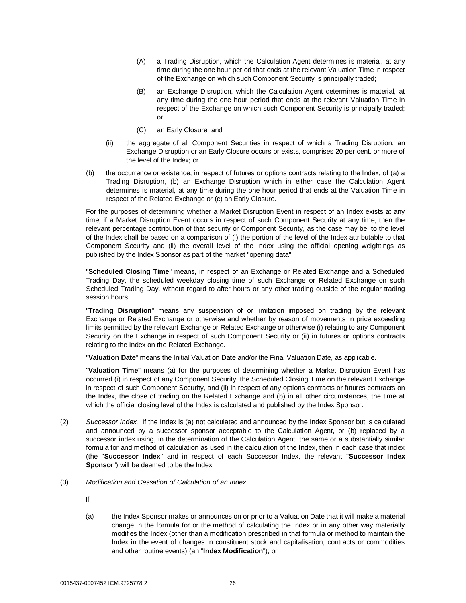- (A) a Trading Disruption, which the Calculation Agent determines is material, at any time during the one hour period that ends at the relevant Valuation Time in respect of the Exchange on which such Component Security is principally traded;
- (B) an Exchange Disruption, which the Calculation Agent determines is material, at any time during the one hour period that ends at the relevant Valuation Time in respect of the Exchange on which such Component Security is principally traded; or
- (C) an Early Closure; and
- (ii) the aggregate of all Component Securities in respect of which a Trading Disruption, an Exchange Disruption or an Early Closure occurs or exists, comprises 20 per cent. or more of the level of the Index; or
- (b) the occurrence or existence, in respect of futures or options contracts relating to the Index, of (a) a Trading Disruption, (b) an Exchange Disruption which in either case the Calculation Agent determines is material, at any time during the one hour period that ends at the Valuation Time in respect of the Related Exchange or (c) an Early Closure.

For the purposes of determining whether a Market Disruption Event in respect of an Index exists at any time, if a Market Disruption Event occurs in respect of such Component Security at any time, then the relevant percentage contribution of that security or Component Security, as the case may be, to the level of the Index shall be based on a comparison of (i) the portion of the level of the Index attributable to that Component Security and (ii) the overall level of the Index using the official opening weightings as published by the Index Sponsor as part of the market "opening data".

"**Scheduled Closing Time**" means, in respect of an Exchange or Related Exchange and a Scheduled Trading Day, the scheduled weekday closing time of such Exchange or Related Exchange on such Scheduled Trading Day, without regard to after hours or any other trading outside of the regular trading session hours.

"**Trading Disruption**" means any suspension of or limitation imposed on trading by the relevant Exchange or Related Exchange or otherwise and whether by reason of movements in price exceeding limits permitted by the relevant Exchange or Related Exchange or otherwise (i) relating to any Component Security on the Exchange in respect of such Component Security or (ii) in futures or options contracts relating to the Index on the Related Exchange.

"**Valuation Date**" means the Initial Valuation Date and/or the Final Valuation Date, as applicable.

"**Valuation Time**" means (a) for the purposes of determining whether a Market Disruption Event has occurred (i) in respect of any Component Security, the Scheduled Closing Time on the relevant Exchange in respect of such Component Security, and (ii) in respect of any options contracts or futures contracts on the Index, the close of trading on the Related Exchange and (b) in all other circumstances, the time at which the official closing level of the Index is calculated and published by the Index Sponsor.

- (2) *Successor Index.* If the Index is (a) not calculated and announced by the Index Sponsor but is calculated and announced by a successor sponsor acceptable to the Calculation Agent, or (b) replaced by a successor index using, in the determination of the Calculation Agent, the same or a substantially similar formula for and method of calculation as used in the calculation of the Index, then in each case that index (the "**Successor Index**" and in respect of each Successor Index, the relevant "**Successor Index Sponsor**") will be deemed to be the Index.
- (3) *Modification and Cessation of Calculation of an Index*.

If

(a) the Index Sponsor makes or announces on or prior to a Valuation Date that it will make a material change in the formula for or the method of calculating the Index or in any other way materially modifies the Index (other than a modification prescribed in that formula or method to maintain the Index in the event of changes in constituent stock and capitalisation, contracts or commodities and other routine events) (an "**Index Modification**"); or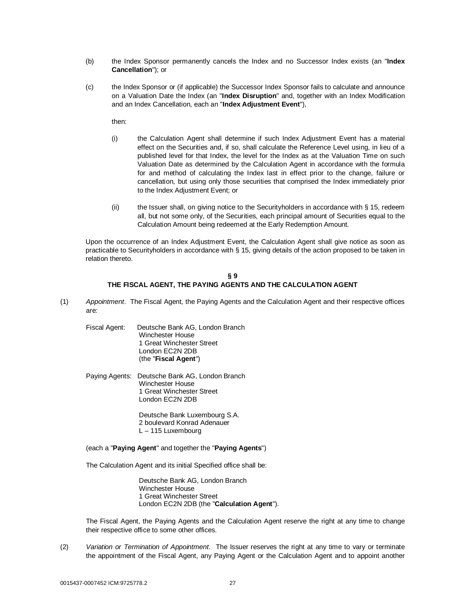- (b) the Index Sponsor permanently cancels the Index and no Successor Index exists (an "**Index Cancellation**"); or
- (c) the Index Sponsor or (if applicable) the Successor Index Sponsor fails to calculate and announce on a Valuation Date the Index (an "**Index Disruption**" and, together with an Index Modification and an Index Cancellation, each an "**Index Adjustment Event**"),

then:

- (i) the Calculation Agent shall determine if such Index Adjustment Event has a material effect on the Securities and, if so, shall calculate the Reference Level using, in lieu of a published level for that Index, the level for the Index as at the Valuation Time on such Valuation Date as determined by the Calculation Agent in accordance with the formula for and method of calculating the Index last in effect prior to the change, failure or cancellation, but using only those securities that comprised the Index immediately prior to the Index Adjustment Event; or
- $(i)$  the Issuer shall, on giving notice to the Securityholders in accordance with § 15, redeem all, but not some only, of the Securities, each principal amount of Securities equal to the Calculation Amount being redeemed at the Early Redemption Amount.

Upon the occurrence of an Index Adjustment Event, the Calculation Agent shall give notice as soon as practicable to Securityholders in accordance with § 15, giving details of the action proposed to be taken in relation thereto.

## **§ 9 THE FISCAL AGENT, THE PAYING AGENTS AND THE CALCULATION AGENT**

- (1) *Appointment*. The Fiscal Agent, the Paying Agents and the Calculation Agent and their respective offices are:
	- Fiscal Agent: Deutsche Bank AG, London Branch Winchester House 1 Great Winchester Street London EC2N 2DB (the "**Fiscal Agent**")
	- Paying Agents: Deutsche Bank AG, London Branch Winchester House 1 Great Winchester Street London EC2N 2DB

Deutsche Bank Luxembourg S.A. 2 boulevard Konrad Adenauer L – 115 Luxembourg

(each a "**Paying Agent**" and together the "**Paying Agents**")

The Calculation Agent and its initial Specified office shall be:

Deutsche Bank AG, London Branch Winchester House 1 Great Winchester Street London EC2N 2DB (the "**Calculation Agent**").

The Fiscal Agent, the Paying Agents and the Calculation Agent reserve the right at any time to change their respective office to some other offices.

(2) *Variation or Termination of Appointment*. The Issuer reserves the right at any time to vary or terminate the appointment of the Fiscal Agent, any Paying Agent or the Calculation Agent and to appoint another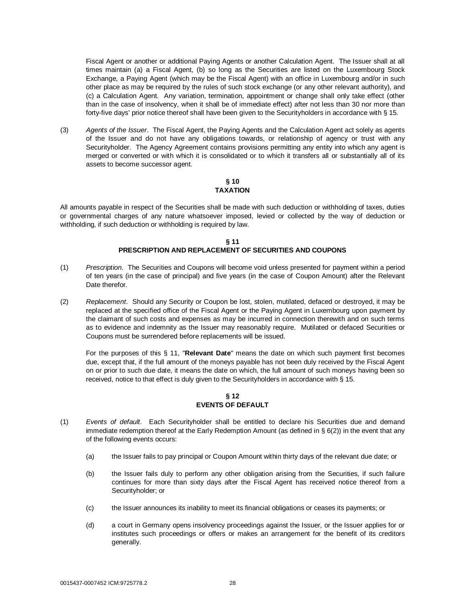Fiscal Agent or another or additional Paying Agents or another Calculation Agent. The Issuer shall at all times maintain (a) a Fiscal Agent, (b) so long as the Securities are listed on the Luxembourg Stock Exchange, a Paying Agent (which may be the Fiscal Agent) with an office in Luxembourg and/or in such other place as may be required by the rules of such stock exchange (or any other relevant authority), and (c) a Calculation Agent. Any variation, termination, appointment or change shall only take effect (other than in the case of insolvency, when it shall be of immediate effect) after not less than 30 nor more than forty-five days' prior notice thereof shall have been given to the Securityholders in accordance with § 15.

(3) *Agents of the Issuer*. The Fiscal Agent, the Paying Agents and the Calculation Agent act solely as agents of the Issuer and do not have any obligations towards, or relationship of agency or trust with any Securityholder. The Agency Agreement contains provisions permitting any entity into which any agent is merged or converted or with which it is consolidated or to which it transfers all or substantially all of its assets to become successor agent.

## **§ 10 TAXATION**

All amounts payable in respect of the Securities shall be made with such deduction or withholding of taxes, duties or governmental charges of any nature whatsoever imposed, levied or collected by the way of deduction or withholding, if such deduction or withholding is required by law.

# **§ 11 PRESCRIPTION AND REPLACEMENT OF SECURITIES AND COUPONS**

- (1) *Prescription*. The Securities and Coupons will become void unless presented for payment within a period of ten years (in the case of principal) and five years (in the case of Coupon Amount) after the Relevant Date therefor.
- (2) *Replacement*. Should any Security or Coupon be lost, stolen, mutilated, defaced or destroyed, it may be replaced at the specified office of the Fiscal Agent or the Paying Agent in Luxembourg upon payment by the claimant of such costs and expenses as may be incurred in connection therewith and on such terms as to evidence and indemnity as the Issuer may reasonably require. Mutilated or defaced Securities or Coupons must be surrendered before replacements will be issued.

For the purposes of this § 11, "**Relevant Date**" means the date on which such payment first becomes due, except that, if the full amount of the moneys payable has not been duly received by the Fiscal Agent on or prior to such due date, it means the date on which, the full amount of such moneys having been so received, notice to that effect is duly given to the Securityholders in accordance with § 15.

# **§ 12 EVENTS OF DEFAULT**

- (1) *Events of default*. Each Securityholder shall be entitled to declare his Securities due and demand immediate redemption thereof at the Early Redemption Amount (as defined in  $\S 6(2)$ ) in the event that any of the following events occurs:
	- (a) the Issuer fails to pay principal or Coupon Amount within thirty days of the relevant due date; or
	- (b) the Issuer fails duly to perform any other obligation arising from the Securities, if such failure continues for more than sixty days after the Fiscal Agent has received notice thereof from a Securityholder; or
	- (c) the Issuer announces its inability to meet its financial obligations or ceases its payments; or
	- (d) a court in Germany opens insolvency proceedings against the Issuer, or the Issuer applies for or institutes such proceedings or offers or makes an arrangement for the benefit of its creditors generally.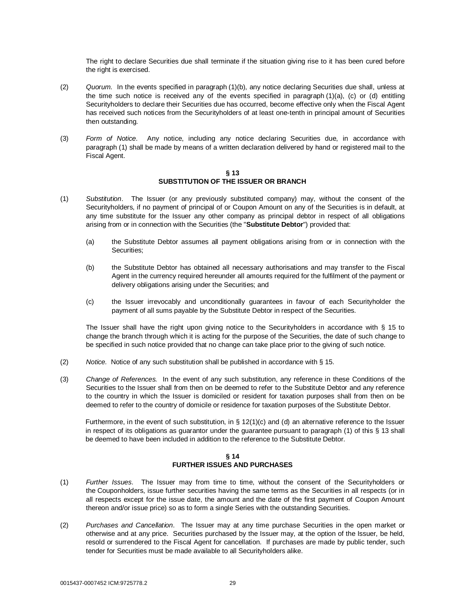The right to declare Securities due shall terminate if the situation giving rise to it has been cured before the right is exercised.

- (2) *Quorum*. In the events specified in paragraph (1)(b), any notice declaring Securities due shall, unless at the time such notice is received any of the events specified in paragraph (1)(a), (c) or (d) entitling Securityholders to declare their Securities due has occurred, become effective only when the Fiscal Agent has received such notices from the Securityholders of at least one-tenth in principal amount of Securities then outstanding.
- (3) *Form of Notice*. Any notice, including any notice declaring Securities due, in accordance with paragraph (1) shall be made by means of a written declaration delivered by hand or registered mail to the Fiscal Agent.

#### **§ 13 SUBSTITUTION OF THE ISSUER OR BRANCH**

- (1) *Substitution*. The Issuer (or any previously substituted company) may, without the consent of the Securityholders, if no payment of principal of or Coupon Amount on any of the Securities is in default, at any time substitute for the Issuer any other company as principal debtor in respect of all obligations arising from or in connection with the Securities (the "**Substitute Debtor**") provided that:
	- (a) the Substitute Debtor assumes all payment obligations arising from or in connection with the Securities;
	- (b) the Substitute Debtor has obtained all necessary authorisations and may transfer to the Fiscal Agent in the currency required hereunder all amounts required for the fulfilment of the payment or delivery obligations arising under the Securities; and
	- (c) the Issuer irrevocably and unconditionally guarantees in favour of each Securityholder the payment of all sums payable by the Substitute Debtor in respect of the Securities.

The Issuer shall have the right upon giving notice to the Securityholders in accordance with § 15 to change the branch through which it is acting for the purpose of the Securities, the date of such change to be specified in such notice provided that no change can take place prior to the giving of such notice.

- (2) *Notice.* Notice of any such substitution shall be published in accordance with § 15.
- (3) *Change of References.* In the event of any such substitution, any reference in these Conditions of the Securities to the Issuer shall from then on be deemed to refer to the Substitute Debtor and any reference to the country in which the Issuer is domiciled or resident for taxation purposes shall from then on be deemed to refer to the country of domicile or residence for taxation purposes of the Substitute Debtor.

Furthermore, in the event of such substitution, in § 12(1)(c) and (d) an alternative reference to the Issuer in respect of its obligations as guarantor under the guarantee pursuant to paragraph (1) of this § 13 shall be deemed to have been included in addition to the reference to the Substitute Debtor.

# **§ 14 FURTHER ISSUES AND PURCHASES**

- (1) *Further Issues*. The Issuer may from time to time, without the consent of the Securityholders or the Couponholders, issue further securities having the same terms as the Securities in all respects (or in all respects except for the issue date, the amount and the date of the first payment of Coupon Amount thereon and/or issue price) so as to form a single Series with the outstanding Securities.
- (2) *Purchases and Cancellation*. The Issuer may at any time purchase Securities in the open market or otherwise and at any price. Securities purchased by the Issuer may, at the option of the Issuer, be held, resold or surrendered to the Fiscal Agent for cancellation. If purchases are made by public tender, such tender for Securities must be made available to all Securityholders alike.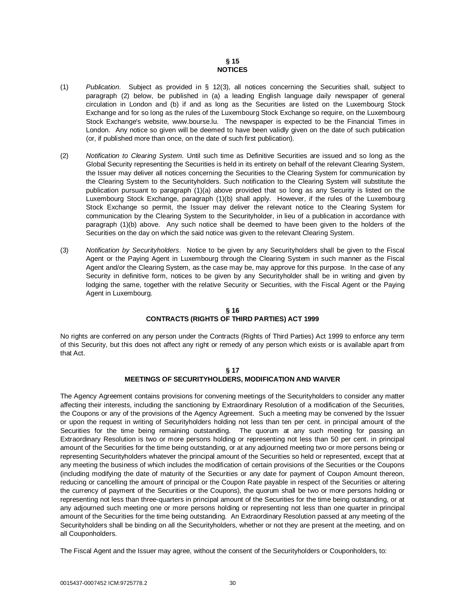# **§ 15 NOTICES**

- (1) *Publication*. Subject as provided in § 12(3), all notices concerning the Securities shall, subject to paragraph (2) below, be published in (a) a leading English language daily newspaper of general circulation in London and (b) if and as long as the Securities are listed on the Luxembourg Stock Exchange and for so long as the rules of the Luxembourg Stock Exchange so require, on the Luxembourg Stock Exchange's website, [www.bourse.lu.](http://www.bourse.lu.) The newspaper is expected to be the Financial Times in London. Any notice so given will be deemed to have been validly given on the date of such publication (or, if published more than once, on the date of such first publication).
- (2) *Notification to Clearing System*. Until such time as Definitive Securities are issued and so long as the Global Security representing the Securities is held in its entirety on behalf of the relevant Clearing System, the Issuer may deliver all notices concerning the Securities to the Clearing System for communication by the Clearing System to the Securityholders. Such notification to the Clearing System will substitute the publication pursuant to paragraph (1)(a) above provided that so long as any Security is listed on the Luxembourg Stock Exchange, paragraph (1)(b) shall apply. However, if the rules of the Luxembourg Stock Exchange so permit, the Issuer may deliver the relevant notice to the Clearing System for communication by the Clearing System to the Securityholder, in lieu of a publication in accordance with paragraph (1)(b) above. Any such notice shall be deemed to have been given to the holders of the Securities on the day on which the said notice was given to the relevant Clearing System.
- (3) *Notification by Securityholders*. Notice to be given by any Securityholders shall be given to the Fiscal Agent or the Paying Agent in Luxembourg through the Clearing System in such manner as the Fiscal Agent and/or the Clearing System, as the case may be, may approve for this purpose. In the case of any Security in definitive form, notices to be given by any Securityholder shall be in writing and given by lodging the same, together with the relative Security or Securities, with the Fiscal Agent or the Paying Agent in Luxembourg.

## **§ 16 CONTRACTS (RIGHTS OF THIRD PARTIES) ACT 1999**

No rights are conferred on any person under the Contracts (Rights of Third Parties) Act 1999 to enforce any term of this Security, but this does not affect any right or remedy of any person which exists or is available apart from that Act.

## **§ 17 MEETINGS OF SECURITYHOLDERS, MODIFICATION AND WAIVER**

The Agency Agreement contains provisions for convening meetings of the Securityholders to consider any matter affecting their interests, including the sanctioning by Extraordinary Resolution of a modification of the Securities, the Coupons or any of the provisions of the Agency Agreement. Such a meeting may be convened by the Issuer or upon the request in writing of Securityholders holding not less than ten per cent. in principal amount of the Securities for the time being remaining outstanding. The quorum at any such meeting for passing an Extraordinary Resolution is two or more persons holding or representing not less than 50 per cent. in principal amount of the Securities for the time being outstanding, or at any adjourned meeting two or more persons being or representing Securityholders whatever the principal amount of the Securities so held or represented, except that at any meeting the business of which includes the modification of certain provisions of the Securities or the Coupons (including modifying the date of maturity of the Securities or any date for payment of Coupon Amount thereon, reducing or cancelling the amount of principal or the Coupon Rate payable in respect of the Securities or altering the currency of payment of the Securities or the Coupons), the quorum shall be two or more persons holding or representing not less than three-quarters in principal amount of the Securities for the time being outstanding, or at any adjourned such meeting one or more persons holding or representing not less than one quarter in principal amount of the Securities for the time being outstanding. An Extraordinary Resolution passed at any meeting of the Securityholders shall be binding on all the Securityholders, whether or not they are present at the meeting, and on all Couponholders.

The Fiscal Agent and the Issuer may agree, without the consent of the Securityholders or Couponholders, to: